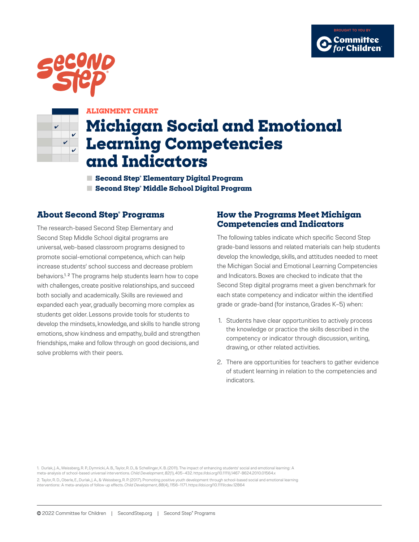





### **ALIGNMENT CHART**

# **Michigan Social and Emotional Learning Competencies and Indicators**

**■ Second Step® Elementary Digital Program ■ Second Step® Middle School Digital Program**

### **About Second Step® Programs**

The research-based Second Step Elementary and Second Step Middle School digital programs are universal, web-based classroom programs designed to promote social-emotional competence, which can help increase students' school success and decrease problem behaviors.<sup>1, 2</sup> The programs help students learn how to cope with challenges, create positive relationships, and succeed both socially and academically. Skills are reviewed and expanded each year, gradually becoming more complex as students get older. Lessons provide tools for students to develop the mindsets, knowledge, and skills to handle strong emotions, show kindness and empathy, build and strengthen friendships, make and follow through on good decisions, and solve problems with their peers.

### **How the Programs Meet Michigan Competencies and Indicators**

The following tables indicate which specific Second Step grade-band lessons and related materials can help students develop the knowledge, skills, and attitudes needed to meet the Michigan Social and Emotional Learning Competencies and Indicators. Boxes are checked to indicate that the Second Step digital programs meet a given benchmark for each state competency and indicator within the identified grade or grade-band (for instance, Grades K–5) when:

- 1. Students have clear opportunities to actively process the knowledge or practice the skills described in the competency or indicator through discussion, writing, drawing, or other related activities.
- 2. There are opportunities for teachers to gather evidence of student learning in relation to the competencies and indicators.

1. Durlak, J. A., Weissberg, R. P., Dymnicki, A. B., Taylor, R. D., & Schellinger, K. B. (2011). The impact of enhancing students' social and emotional learning: A meta-analysis of school-based universal interventions. *Child Development*, *82*(1), 405–432. https://doi.org/10.1111/j.1467-8624.2010.01564.x 2. Taylor, R. D., Oberle, E., Durlak, J. A., & Weissberg, R. P. (2017). Promoting positive youth development through school-based social and emotional learning

interventions: A meta-analysis of follow-up effects. *Child Development*, *88*(4), 1156–1171. https://doi.org/10.1111/cdev.12864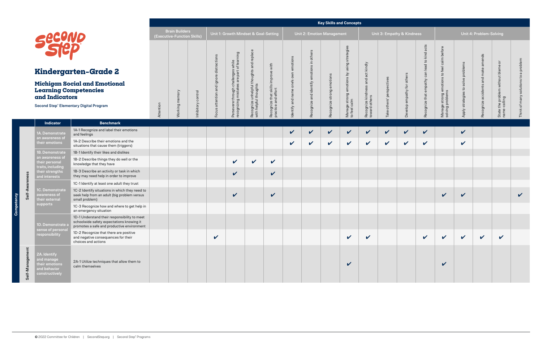## **Michigan Soci** Learning Com **and Indicators**

Second Step<sup>®</sup> Elementa

**Competency**

C

Suc

**Self-Awareness**

Self-Awareness

1A. Demonstrate an awareness of their emotions

|                                                                                                                                         |           |                                                      |                    |                                                       |                                                                 |                                                                   |                                                           |                                      |                                                                                                                                                                                                                                                                                                                                                                                                                                                              | <b>Key Skills and Concepts</b> |                                                            |                                         |                              |                            |                                              |                                                                |                     |                         |                                                    |                            |
|-----------------------------------------------------------------------------------------------------------------------------------------|-----------|------------------------------------------------------|--------------------|-------------------------------------------------------|-----------------------------------------------------------------|-------------------------------------------------------------------|-----------------------------------------------------------|--------------------------------------|--------------------------------------------------------------------------------------------------------------------------------------------------------------------------------------------------------------------------------------------------------------------------------------------------------------------------------------------------------------------------------------------------------------------------------------------------------------|--------------------------------|------------------------------------------------------------|-----------------------------------------|------------------------------|----------------------------|----------------------------------------------|----------------------------------------------------------------|---------------------|-------------------------|----------------------------------------------------|----------------------------|
| 10                                                                                                                                      |           | <b>Brain Builders</b><br>(Executive-Function Skills) |                    |                                                       | Unit 1: Growth Mindset & Goal-Setting                           |                                                                   |                                                           |                                      | Unit 2: Emotion Management                                                                                                                                                                                                                                                                                                                                                                                                                                   |                                |                                                            |                                         | Unit 3: Empathy & Kindness   |                            |                                              |                                                                |                     | Unit 4: Problem-Solving |                                                    |                            |
|                                                                                                                                         |           |                                                      |                    | distractions                                          | s while<br>of learning                                          |                                                                   |                                                           |                                      | others<br>$\mathrel{\mathop{\raisebox{1.5pt}{.}}\mathrel{\rule{0pt}{.5pt}}\mathrel{\rule{0pt}{0.5pt}}\mathrel{\rule{0pt}{0.5pt}}\mathrel{\rule{0pt}{0.5pt}}\mathrel{\rule{0pt}{0.5pt}}\mathrel{\rule{0pt}{0.5pt}}\mathrel{\rule{0pt}{0.5pt}}\mathrel{\rule{0pt}{0.5pt}}\mathrel{\rule{0pt}{0.5pt}}\mathrel{\rule{0pt}{0.5pt}}\mathrel{\rule{0pt}{0.5pt}}\mathrel{\rule{0pt}{0.5pt}}\mathrel{\rule{0pt}{0.5pt}}\mathrel{\rule{0pt}{0.5pt}}\mathrel{\rule{0pt$ |                                |                                                            | act kindly                              |                              |                            |                                              |                                                                |                     | amends                  |                                                    | problem                    |
| ten-Grade 2                                                                                                                             |           |                                                      |                    | $\omega$                                              |                                                                 |                                                                   |                                                           |                                      |                                                                                                                                                                                                                                                                                                                                                                                                                                                              |                                |                                                            |                                         |                              |                            |                                              |                                                                | solve problems      | make                    |                                                    | $\sigma$<br>$\mathbf{S}$   |
| ial and Emotional<br><b>npetencies</b><br>ʻS<br>ary Digital Program                                                                     | Attention | Working memory                                       | Inhibitory control | and ignore<br>attention<br>$\pmb{\mathsf{c}}$<br>Focu | Persevere through challenges<br>recognizing mistakes are part ( | Recognize unhelpful thoughts and replace<br>with helpful thoughts | Recognize that skills improve with<br>practice and effort | Identify and name one's own emotions | Recognize and identify emotions                                                                                                                                                                                                                                                                                                                                                                                                                              | Recognize strong emotions      | Manage strong emotions by using strategies<br>to feel calm | Recognize kindness and<br>toward others | others' perspectives<br>Take | Develop empathy for others | Recognize that empathy can lead to kind acts | Manage strong emotions to feel calm before<br>solving problems | Apply strategies to | Recognize accidents and | State the problem without blame or<br>name-calling | solutions<br>Think of many |
| <b>Benchmark</b>                                                                                                                        |           |                                                      |                    |                                                       |                                                                 |                                                                   |                                                           |                                      |                                                                                                                                                                                                                                                                                                                                                                                                                                                              |                                |                                                            |                                         |                              |                            |                                              |                                                                |                     |                         |                                                    |                            |
| 1A-1 Recognize and label their emotions<br>and feelings                                                                                 |           |                                                      |                    |                                                       |                                                                 |                                                                   |                                                           | $\checkmark$                         | $\boldsymbol{\mathcal{U}}$                                                                                                                                                                                                                                                                                                                                                                                                                                   | $\checkmark$                   | $\checkmark$                                               | $\checkmark$                            | $\checkmark$                 | $\checkmark$               | $\checkmark$                                 |                                                                | $\checkmark$        |                         |                                                    |                            |
| 1A-2 Describe their emotions and the<br>situations that cause them (triggers)                                                           |           |                                                      |                    |                                                       |                                                                 |                                                                   |                                                           | $\checkmark$                         | $\checkmark$                                                                                                                                                                                                                                                                                                                                                                                                                                                 | $\checkmark$                   | $\checkmark$                                               | $\checkmark$                            | $\checkmark$                 | $\boldsymbol{\mathcal{U}}$ | $\checkmark$                                 |                                                                | $\checkmark$        |                         |                                                    |                            |
| 1B-1 Identify their likes and dislikes                                                                                                  |           |                                                      |                    |                                                       |                                                                 |                                                                   |                                                           |                                      |                                                                                                                                                                                                                                                                                                                                                                                                                                                              |                                |                                                            |                                         |                              |                            |                                              |                                                                |                     |                         |                                                    |                            |
| 1B-2 Describe things they do well or the<br>knowledge that they have                                                                    |           |                                                      |                    |                                                       | $\boldsymbol{\mathcal{U}}$                                      | $\checkmark$                                                      | $\checkmark$                                              |                                      |                                                                                                                                                                                                                                                                                                                                                                                                                                                              |                                |                                                            |                                         |                              |                            |                                              |                                                                |                     |                         |                                                    |                            |
| 1B-3 Describe an activity or task in which<br>they may need help in order to improve                                                    |           |                                                      |                    |                                                       | $\checkmark$                                                    |                                                                   | $\checkmark$                                              |                                      |                                                                                                                                                                                                                                                                                                                                                                                                                                                              |                                |                                                            |                                         |                              |                            |                                              |                                                                |                     |                         |                                                    |                            |
| 1C-1 Identify at least one adult they trust                                                                                             |           |                                                      |                    |                                                       |                                                                 |                                                                   |                                                           |                                      |                                                                                                                                                                                                                                                                                                                                                                                                                                                              |                                |                                                            |                                         |                              |                            |                                              |                                                                |                     |                         |                                                    |                            |
| 1C-2 Identify situations in which they need to<br>seek help from an adult (big problem versus<br>small problem)                         |           |                                                      |                    |                                                       | $\checkmark$                                                    |                                                                   | $\checkmark$                                              |                                      |                                                                                                                                                                                                                                                                                                                                                                                                                                                              |                                |                                                            |                                         |                              |                            |                                              | $\checkmark$                                                   | $\checkmark$        |                         |                                                    | $\checkmark$               |
| 1C-3 Recognize how and where to get help in<br>an emergency situation                                                                   |           |                                                      |                    |                                                       |                                                                 |                                                                   |                                                           |                                      |                                                                                                                                                                                                                                                                                                                                                                                                                                                              |                                |                                                            |                                         |                              |                            |                                              |                                                                |                     |                         |                                                    |                            |
| 1D-1 Understand their responsibility to meet<br>schoolwide safety expectations knowing it<br>promotes a safe and productive environment |           |                                                      |                    |                                                       |                                                                 |                                                                   |                                                           |                                      |                                                                                                                                                                                                                                                                                                                                                                                                                                                              |                                |                                                            |                                         |                              |                            |                                              |                                                                |                     |                         |                                                    |                            |
| 1D-2 Recognize that there are positive<br>and negative consequences for their<br>choices and actions                                    |           |                                                      |                    | $\checkmark$                                          |                                                                 |                                                                   |                                                           |                                      |                                                                                                                                                                                                                                                                                                                                                                                                                                                              |                                | $\checkmark$                                               | $\checkmark$                            |                              |                            | $\checkmark$                                 | $\checkmark$                                                   | $\checkmark$        | $\checkmark$            | V                                                  |                            |
| 2A-1 Utilize techniques that allow them to<br>calm themselves                                                                           |           |                                                      |                    |                                                       |                                                                 |                                                                   |                                                           |                                      |                                                                                                                                                                                                                                                                                                                                                                                                                                                              |                                | $\checkmark$                                               |                                         |                              |                            |                                              | $\checkmark$                                                   |                     |                         |                                                    |                            |

1B. Demonstrate an awareness of their personal traits, including their strengths and interests

1C. Demonstrate awareness of their external supports

1D. Demonstrate a sense of personal responsibility

**Self-Management**

Self-Management

# **Kindergart**

2A. Identify and manage their emotions and behavior constructively



**Indicator**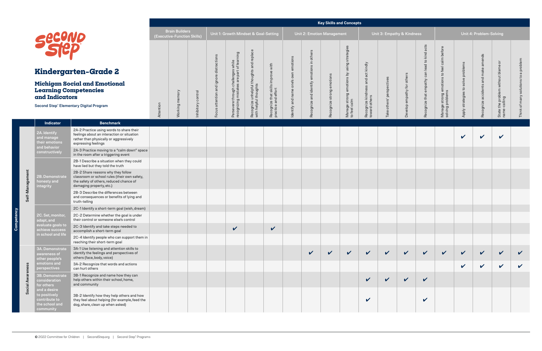## **Michigan Social Learning Compet and Indicators**

Second Step<sup>®</sup> Elementary Digital

**Indicator** 

**Competency**

**Self-Management**

Self-Management

2A. Identify and manage their emotions and behavior constructively

3B. Demonstrate consideration for others and a desire to positively contribute to the school and ommunity

2B. Demonstrate honesty and integrity

|                                                                                                                                                           |           |                                                      |                    |                                         |                                                                                           |                                                                   |                                                           |                                      |                                                       |                           | <b>Key Skills and Concepts</b>                             |                                                    |                              |                            |                                              |                                                                |                                       |                                        |                                                      |                                         |
|-----------------------------------------------------------------------------------------------------------------------------------------------------------|-----------|------------------------------------------------------|--------------------|-----------------------------------------|-------------------------------------------------------------------------------------------|-------------------------------------------------------------------|-----------------------------------------------------------|--------------------------------------|-------------------------------------------------------|---------------------------|------------------------------------------------------------|----------------------------------------------------|------------------------------|----------------------------|----------------------------------------------|----------------------------------------------------------------|---------------------------------------|----------------------------------------|------------------------------------------------------|-----------------------------------------|
|                                                                                                                                                           |           | <b>Brain Builders</b><br>(Executive-Function Skills) |                    |                                         |                                                                                           | Unit 1: Growth Mindset & Goal-Setting                             |                                                           |                                      | Unit 2: Emotion Management                            |                           |                                                            |                                                    |                              | Unit 3: Empathy & Kindness |                                              |                                                                |                                       | Unit 4: Problem-Solving                |                                                      |                                         |
| <b>JC</b><br>D<br>rten-Grade 2<br>cial and Emotional<br>mpetencies<br>rs<br><b>htary Digital Program</b>                                                  | Attention | memory<br>Working I                                  | Inhibitory control | Focus attention and ignore distractions | s while<br>: of learning<br>Persevere through challenges<br>recognizing mistakes are part | Recognize unhelpful thoughts and replace<br>with helpful thoughts | Recognize that skills improve with<br>practice and effort | Identify and name one's own emotions | others<br>$\equiv$<br>Recognize and identify emotions | Recognize strong emotions | Manage strong emotions by using strategies<br>to feel calm | Recognize kindness and act kindly<br>toward others | others' perspectives<br>Take | Develop empathy for others | Recognize that empathy can lead to kind acts | Manage strong emotions to feel calm before<br>solving problems | solve problems<br>Apply strategies to | amends<br>Recognize accidents and make | ŏ<br>State the problem without blame<br>name-calling | a problem<br>Think of many solutions to |
| <b>Benchmark</b>                                                                                                                                          |           |                                                      |                    |                                         |                                                                                           |                                                                   |                                                           |                                      |                                                       |                           |                                                            |                                                    |                              |                            |                                              |                                                                |                                       |                                        |                                                      |                                         |
| 2A-2 Practice using words to share their<br>feelings about an interaction or situation<br>rather than physically or aggressively<br>expressing feelings   |           |                                                      |                    |                                         |                                                                                           |                                                                   |                                                           |                                      |                                                       |                           |                                                            |                                                    |                              |                            |                                              |                                                                | $\checkmark$                          | $\boldsymbol{\mathcal{U}}$             | $\checkmark$                                         |                                         |
| 2A-3 Practice moving to a "calm down" space<br>in the room after a triggering event                                                                       |           |                                                      |                    |                                         |                                                                                           |                                                                   |                                                           |                                      |                                                       |                           |                                                            |                                                    |                              |                            |                                              |                                                                |                                       |                                        |                                                      |                                         |
| 2B-1 Describe a situation when they could<br>have lied but they told the truth                                                                            |           |                                                      |                    |                                         |                                                                                           |                                                                   |                                                           |                                      |                                                       |                           |                                                            |                                                    |                              |                            |                                              |                                                                |                                       |                                        |                                                      |                                         |
| 2B-2 Share reasons why they follow<br>classroom or school rules (their own safety,<br>the safety of others, reduced chance of<br>damaging property, etc.) |           |                                                      |                    |                                         |                                                                                           |                                                                   |                                                           |                                      |                                                       |                           |                                                            |                                                    |                              |                            |                                              |                                                                |                                       |                                        |                                                      |                                         |
| 2B-3 Describe the differences between<br>and consequences or benefits of lying and<br>truth-telling                                                       |           |                                                      |                    |                                         |                                                                                           |                                                                   |                                                           |                                      |                                                       |                           |                                                            |                                                    |                              |                            |                                              |                                                                |                                       |                                        |                                                      |                                         |
| 2C-1 Identify a short-term goal (wish, dream)                                                                                                             |           |                                                      |                    |                                         |                                                                                           |                                                                   |                                                           |                                      |                                                       |                           |                                                            |                                                    |                              |                            |                                              |                                                                |                                       |                                        |                                                      |                                         |
| 2C-2 Determine whether the goal is under<br>their control or someone else's control                                                                       |           |                                                      |                    |                                         |                                                                                           |                                                                   |                                                           |                                      |                                                       |                           |                                                            |                                                    |                              |                            |                                              |                                                                |                                       |                                        |                                                      |                                         |
| 2C-3 Identify and take steps needed to<br>accomplish a short-term goal                                                                                    |           |                                                      |                    |                                         | $\checkmark$                                                                              |                                                                   | $\checkmark$                                              |                                      |                                                       |                           |                                                            |                                                    |                              |                            |                                              |                                                                |                                       |                                        |                                                      |                                         |
| 2C-4 Identify people who can support them in<br>reaching their short-term goal                                                                            |           |                                                      |                    |                                         |                                                                                           |                                                                   |                                                           |                                      |                                                       |                           |                                                            |                                                    |                              |                            |                                              |                                                                |                                       |                                        |                                                      |                                         |
| 3A-1 Use listening and attention skills to<br>identify the feelings and perspectives of<br>others (face, body, voice)                                     |           |                                                      |                    |                                         |                                                                                           |                                                                   |                                                           |                                      | $\checkmark$                                          | $\checkmark$              | $\checkmark$                                               | $\checkmark$                                       | $\checkmark$                 | $\mathbf v$                | $\checkmark$                                 | $\checkmark$                                                   | $\checkmark$                          | $\checkmark$                           | $\checkmark$                                         |                                         |
| 3A-2 Recognize that words and actions<br>can hurt others                                                                                                  |           |                                                      |                    |                                         |                                                                                           |                                                                   |                                                           |                                      |                                                       |                           |                                                            |                                                    |                              |                            |                                              |                                                                | $\checkmark$                          | $\checkmark$                           | $\checkmark$                                         |                                         |
| 3B-1 Recognize and name how they can<br>help others within their school, home,<br>and community                                                           |           |                                                      |                    |                                         |                                                                                           |                                                                   |                                                           |                                      |                                                       |                           |                                                            | $\checkmark$                                       | $\checkmark$                 | $\checkmark$               | $\checkmark$                                 |                                                                |                                       |                                        |                                                      |                                         |
| 3B-2 Identify how they help others and how<br>they feel about helping (for example, feed the<br>dog, share, clean up when asked)                          |           |                                                      |                    |                                         |                                                                                           |                                                                   |                                                           |                                      |                                                       |                           |                                                            | V                                                  |                              |                            | $\checkmark$                                 |                                                                |                                       |                                        |                                                      |                                         |

2C. Set, monitor, adapt, and evaluate goals to achieve success in school and life

**Social Awareness**

**Social Awareness** 

3A. Demonstrate awareness of other people's emotions and perspectives



# **Kindergarten**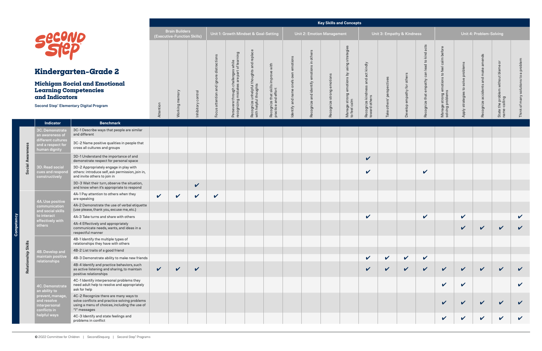## **Kindergarten–Grade 2**

## **Michigan Social and Emotion Learning Competencies and Indicators**

Second Step® Elementary Digital Program

**Competency**

**Social Awareness**

**Social Awareness** 

3C. Demonstrate an awareness of different cultures and a respect for human dignity

3D. Read social cues and respond constructively

|                                                   |                                                                                                                                                         |              |                                                      |                    |                                         |                                                                                 |                                                       |                                                           |                             |                                    |                           | <b>Key Skills and Concepts</b>                             |                                                    |                            |                            |                                              |                                                                |                     |                            |                                       |                   |
|---------------------------------------------------|---------------------------------------------------------------------------------------------------------------------------------------------------------|--------------|------------------------------------------------------|--------------------|-----------------------------------------|---------------------------------------------------------------------------------|-------------------------------------------------------|-----------------------------------------------------------|-----------------------------|------------------------------------|---------------------------|------------------------------------------------------------|----------------------------------------------------|----------------------------|----------------------------|----------------------------------------------|----------------------------------------------------------------|---------------------|----------------------------|---------------------------------------|-------------------|
|                                                   |                                                                                                                                                         |              | <b>Brain Builders</b><br>(Executive-Function Skills) |                    |                                         | Unit 1: Growth Mindset & Goal-Setting                                           |                                                       |                                                           |                             | Unit 2: Emotion Management         |                           |                                                            |                                                    | Unit 3: Empathy & Kindness |                            |                                              |                                                                |                     | Unit 4: Problem-Solving    |                                       |                   |
| secono                                            |                                                                                                                                                         |              |                                                      |                    |                                         |                                                                                 | and replace                                           |                                                           | emotions                    | others                             |                           |                                                            |                                                    |                            |                            |                                              |                                                                |                     | amends                     | ō                                     |                   |
|                                                   | ndergarten-Grade 2                                                                                                                                      |              |                                                      |                    |                                         |                                                                                 |                                                       |                                                           |                             |                                    |                           |                                                            |                                                    |                            |                            |                                              |                                                                | solve problems      | make                       |                                       | problem<br>σ      |
| d Indicators                                      | chigan Social and Emotional<br><b>arning Competencies</b>                                                                                               |              |                                                      |                    | Focus attention and ignore distractions | Persevere through challenges while<br>recognizing mistakes are part of learning | Recognize unhelpful thoughts<br>with helpful thoughts | Recognize that skills improve with<br>practice and effort | Identify and name one's own | Recognize and identify emotions in | Recognize strong emotions | Manage strong emotions by using strategies<br>to feel calm | Recognize kindness and act kindly<br>toward others | others' perspectives       | Develop empathy for others | Recognize that empathy can lead to kind acts | Manage strong emotions to feel calm before<br>solving problems |                     | and<br>Recognize accidents | the problem without blame<br>-calling |                   |
|                                                   | ond Step® Elementary Digital Program                                                                                                                    | Attention    | Working memory                                       | Inhibitory control |                                         |                                                                                 |                                                       |                                                           |                             |                                    |                           |                                                            |                                                    | Take                       |                            |                                              |                                                                | Apply strategies to |                            | State<br>name-                        | $\sigma$<br>Think |
| <b>Indicator</b>                                  | <b>Benchmark</b>                                                                                                                                        |              |                                                      |                    |                                         |                                                                                 |                                                       |                                                           |                             |                                    |                           |                                                            |                                                    |                            |                            |                                              |                                                                |                     |                            |                                       |                   |
| Demonstrate<br>awareness of                       | 3C-1 Describe ways that people are similar<br>and different                                                                                             |              |                                                      |                    |                                         |                                                                                 |                                                       |                                                           |                             |                                    |                           |                                                            |                                                    |                            |                            |                                              |                                                                |                     |                            |                                       |                   |
| erent cultures<br>a respect for<br>nan dignity    | 3C-2 Name positive qualities in people that<br>cross all cultures and groups                                                                            |              |                                                      |                    |                                         |                                                                                 |                                                       |                                                           |                             |                                    |                           |                                                            |                                                    |                            |                            |                                              |                                                                |                     |                            |                                       |                   |
|                                                   | 3D-1 Understand the importance of and<br>demonstrate respect for personal space                                                                         |              |                                                      |                    |                                         |                                                                                 |                                                       |                                                           |                             |                                    |                           |                                                            | $\checkmark$                                       |                            |                            |                                              |                                                                |                     |                            |                                       |                   |
| Read social<br>s and respond<br>structively       | 3D-2 Appropriately engage in play with<br>others: introduce self, ask permission, join in,<br>and invite others to join in                              |              |                                                      |                    |                                         |                                                                                 |                                                       |                                                           |                             |                                    |                           |                                                            | $\checkmark$                                       |                            |                            | $\checkmark$                                 |                                                                |                     |                            |                                       |                   |
|                                                   | 3D-3 Wait their turn, observe the situation,<br>and know when it's appropriate to respond                                                               |              |                                                      | $\checkmark$       |                                         |                                                                                 |                                                       |                                                           |                             |                                    |                           |                                                            |                                                    |                            |                            |                                              |                                                                |                     |                            |                                       |                   |
| Use positive                                      | 4A-1 Pay attention to others when they<br>are speaking                                                                                                  | $\checkmark$ | $\checkmark$                                         | $\checkmark$       | $\checkmark$                            |                                                                                 |                                                       |                                                           |                             |                                    |                           |                                                            |                                                    |                            |                            |                                              |                                                                |                     |                            |                                       |                   |
| nmunication<br>social skills                      | 4A-2 Demonstrate the use of verbal etiquette<br>(use please, thank you, excuse me, etc.)                                                                |              |                                                      |                    |                                         |                                                                                 |                                                       |                                                           |                             |                                    |                           |                                                            |                                                    |                            |                            |                                              |                                                                |                     |                            |                                       |                   |
| nteract<br>ctively with!                          | 4A-3 Take turns and share with others                                                                                                                   |              |                                                      |                    |                                         |                                                                                 |                                                       |                                                           |                             |                                    |                           |                                                            | V                                                  |                            |                            | V                                            |                                                                | V                   |                            |                                       |                   |
| ers                                               | 4A-4 Effectively and appropriately<br>communicate needs, wants, and ideas in a<br>respectful manner                                                     |              |                                                      |                    |                                         |                                                                                 |                                                       |                                                           |                             |                                    |                           |                                                            |                                                    |                            |                            |                                              |                                                                | V                   | $\checkmark$               | $\checkmark$                          |                   |
|                                                   | 4B-1 Identify the multiple types of<br>relationships they have with others                                                                              |              |                                                      |                    |                                         |                                                                                 |                                                       |                                                           |                             |                                    |                           |                                                            |                                                    |                            |                            |                                              |                                                                |                     |                            |                                       |                   |
| Develop and                                       | 4B-2 List traits of a good friend                                                                                                                       |              |                                                      |                    |                                         |                                                                                 |                                                       |                                                           |                             |                                    |                           |                                                            |                                                    |                            |                            |                                              |                                                                |                     |                            |                                       |                   |
| <u>ntain positive</u><br>tionships                | 4B-3 Demonstrate ability to make new friends                                                                                                            |              |                                                      |                    |                                         |                                                                                 |                                                       |                                                           |                             |                                    |                           |                                                            | $\checkmark$                                       | $\checkmark$               | $\checkmark$               | $\mathbf v$                                  |                                                                |                     |                            |                                       |                   |
|                                                   | 4B-4 Identify and practice behaviors, such<br>as active listening and sharing, to maintain<br>positive relationships                                    | $\checkmark$ | $\checkmark$                                         | $\checkmark$       |                                         |                                                                                 |                                                       |                                                           |                             |                                    |                           |                                                            | $\checkmark$                                       | $\checkmark$               | $\checkmark$               | $\checkmark$                                 | $\checkmark$                                                   | $\checkmark$        | $\checkmark$               | $\checkmark$                          | $\checkmark$      |
| Demonstrate<br>ability to                         | 4C-1 Identify interpersonal problems they<br>need adult help to resolve and appropriately<br>ask for help                                               |              |                                                      |                    |                                         |                                                                                 |                                                       |                                                           |                             |                                    |                           |                                                            |                                                    |                            |                            |                                              | $\boldsymbol{\mathcal{U}}$                                     | $\checkmark$        |                            |                                       |                   |
| vent, manage<br>resolve<br>rpersonal<br>flicts in | 4C-2 Recognize there are many ways to<br>solve conflicts and practice solving problems<br>using a menu of choices, including the use of<br>"I" messages |              |                                                      |                    |                                         |                                                                                 |                                                       |                                                           |                             |                                    |                           |                                                            |                                                    |                            |                            |                                              | $\checkmark$                                                   | $\checkmark$        | $\checkmark$               | $\checkmark$                          |                   |
| oful ways                                         | 4C-3 Identify and state feelings and<br>problems in conflict                                                                                            |              |                                                      |                    |                                         |                                                                                 |                                                       |                                                           |                             |                                    |                           |                                                            |                                                    |                            |                            |                                              | $\checkmark$                                                   | $\checkmark$        | $\checkmark$               | $\checkmark$                          |                   |

**Relationship Skills**

Relationship Skills

4A. Use positive communication and social skills to interact effectively with

others

4B. Develop and maintain positive relationships

4C. Demonstrate an ability to prevent, manage, and resolve interpersonal conflicts in helpful ways

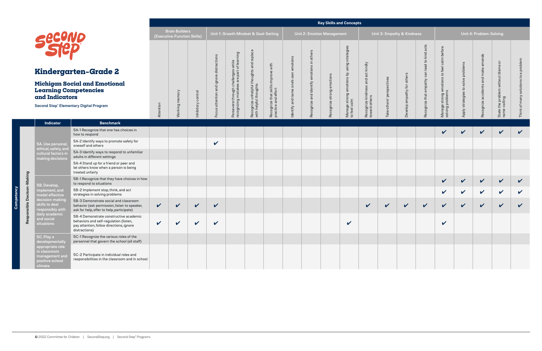## **Michigan Social and Em Learning Competencies and Indicators**

Responsible Decison-Making **Responsible Decison-Making**

**Competency**

ency

5A. Use personal, ethical, safety, and cultural factors in making decisions

|                                                                                                                                               |              |                                                      |                            |                                         |                                                                                 |                                                                   |                                                           |                                      |                                                 |                           | <b>Key Skills and Concepts</b>                                |                                                       |                                 |                            |                                                 |                                                                |                                          |                                           |                                                    |                                                                        |
|-----------------------------------------------------------------------------------------------------------------------------------------------|--------------|------------------------------------------------------|----------------------------|-----------------------------------------|---------------------------------------------------------------------------------|-------------------------------------------------------------------|-----------------------------------------------------------|--------------------------------------|-------------------------------------------------|---------------------------|---------------------------------------------------------------|-------------------------------------------------------|---------------------------------|----------------------------|-------------------------------------------------|----------------------------------------------------------------|------------------------------------------|-------------------------------------------|----------------------------------------------------|------------------------------------------------------------------------|
|                                                                                                                                               |              | <b>Brain Builders</b><br>(Executive-Function Skills) |                            |                                         | Unit 1: Growth Mindset & Goal-Setting                                           |                                                                   |                                                           |                                      | <b>Unit 2: Emotion Management</b>               |                           |                                                               |                                                       |                                 | Unit 3: Empathy & Kindness |                                                 |                                                                |                                          | Unit 4: Problem-Solving                   |                                                    |                                                                        |
| VO<br>D<br>r <b>ten-Grade</b> 2<br>cial and Emotional<br>mpetencies<br>rs<br><b>htary Digital Program</b>                                     | Attention    | memory<br><b>Working</b>                             | Inhibitory control         | Focus attention and ignore distractions | Persevere through challenges while<br>recognizing mistakes are part of learning | Recognize unhelpful thoughts and replace<br>with helpful thoughts | Recognize that skills improve with<br>practice and effort | Identify and name one's own emotions | others<br>emotions in<br>Recognize and identify | Recognize strong emotions | using strategies<br>Manage strong emotions by<br>to feel calm | and act kindly<br>Recognize kindness<br>toward others | perspectives<br>others'<br>Take | Develop empathy for others | can lead to kind acts<br>Recognize that empathy | Manage strong emotions to feel calm before<br>solving problems | solve problems<br>strategies to<br>Apply | amends<br>make<br>Recognize accidents and | State the problem without blame or<br>name-calling | problem<br>ത<br>$\mathbf{S}$<br>solutions<br>many<br>Think of <b>1</b> |
| <b>Benchmark</b>                                                                                                                              |              |                                                      |                            |                                         |                                                                                 |                                                                   |                                                           |                                      |                                                 |                           |                                                               |                                                       |                                 |                            |                                                 |                                                                |                                          |                                           |                                                    |                                                                        |
| 5A-1 Recognize that one has choices in<br>how to respond                                                                                      |              |                                                      |                            |                                         |                                                                                 |                                                                   |                                                           |                                      |                                                 |                           |                                                               |                                                       |                                 |                            |                                                 | $\checkmark$                                                   | $\boldsymbol{\mathcal{U}}$               | $\checkmark$                              | $\checkmark$                                       | $\checkmark$                                                           |
| 5A-2 Identify ways to promote safety for<br>oneself and others                                                                                |              |                                                      |                            | $\checkmark$                            |                                                                                 |                                                                   |                                                           |                                      |                                                 |                           |                                                               |                                                       |                                 |                            |                                                 |                                                                |                                          |                                           |                                                    |                                                                        |
| 5A-3 Identify ways to respond to unfamiliar<br>adults in different settings                                                                   |              |                                                      |                            |                                         |                                                                                 |                                                                   |                                                           |                                      |                                                 |                           |                                                               |                                                       |                                 |                            |                                                 |                                                                |                                          |                                           |                                                    |                                                                        |
| 5A-4 Stand up for a friend or peer and<br>let others know when a person is being<br>treated unfairly                                          |              |                                                      |                            |                                         |                                                                                 |                                                                   |                                                           |                                      |                                                 |                           |                                                               |                                                       |                                 |                            |                                                 |                                                                |                                          |                                           |                                                    |                                                                        |
| 5B-1 Recognize that they have choices in how<br>to respond to situations                                                                      |              |                                                      |                            |                                         |                                                                                 |                                                                   |                                                           |                                      |                                                 |                           |                                                               |                                                       |                                 |                            |                                                 | $\checkmark$                                                   | $\checkmark$                             | $\checkmark$                              | $\checkmark$                                       | $\checkmark$                                                           |
| 5B-2 Implement stop, think, and act<br>strategies in solving problems                                                                         |              |                                                      |                            |                                         |                                                                                 |                                                                   |                                                           |                                      |                                                 |                           |                                                               |                                                       |                                 |                            |                                                 | $\checkmark$                                                   | $\checkmark$                             | $\checkmark$                              | $\checkmark$                                       | V                                                                      |
| 5B-3 Demonstrate social and classroom<br>behavior (ask permission, listen to speaker,<br>ask for help, offer to help, participate)            | $\checkmark$ | $\checkmark$                                         | $\checkmark$               | $\checkmark$                            |                                                                                 |                                                                   |                                                           |                                      |                                                 |                           |                                                               | $\checkmark$                                          | $\checkmark$                    | $\checkmark$               | $\boldsymbol{\mathcal{U}}$                      | $\checkmark$                                                   | $\checkmark$                             | $\mathbf v$                               | $\checkmark$                                       | V                                                                      |
| 5B-4 Demonstrate constructive academic<br>behaviors and self-regulation (listen,<br>pay attention, follow directions, ignore<br>distractions) | V            |                                                      | $\boldsymbol{\mathcal{U}}$ | $\boldsymbol{\mathcal{U}}$              |                                                                                 |                                                                   |                                                           |                                      |                                                 |                           | V                                                             |                                                       |                                 |                            |                                                 | V                                                              |                                          |                                           |                                                    |                                                                        |
| 5C-1 Recognize the various roles of the<br>personnel that govern the school (all staff)                                                       |              |                                                      |                            |                                         |                                                                                 |                                                                   |                                                           |                                      |                                                 |                           |                                                               |                                                       |                                 |                            |                                                 |                                                                |                                          |                                           |                                                    |                                                                        |
| 5C-2 Participate in individual roles and<br>responsibilities in the classroom and in school                                                   |              |                                                      |                            |                                         |                                                                                 |                                                                   |                                                           |                                      |                                                 |                           |                                                               |                                                       |                                 |                            |                                                 |                                                                |                                          |                                           |                                                    |                                                                        |

5B. Develop, implement, and model effective decision-making skills to deal responsibly with daily academic and social situations

Second Step® Elementary Digital Progra

**Indicator** 

5C. Play a developmentally appropriate role in classroom management and positive school climate



## **Kindergarten-Gra**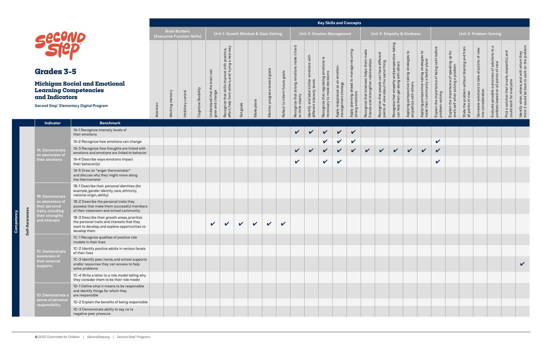|                    |                                                        |                                                                                                                                                              |           | <b>Brain Builders</b><br>(Executive-Function Skills) |                    |                       |                                               | Unit 1: Growth Mindset & Goal-Setting                         |              |              |                          |                                        |                                                    |                                                                                       |                                                        | Unit 2: Emotion Management                     |                                                             |                                                                            |                                                     |                                                   | Unit 3: Empathy & Kindness                           |                                                                             |                                                         |                                                                            |                                                                  |                                                                     | Unit 4: Problem-Solving                                                                       |                                                       |                                                                                           |
|--------------------|--------------------------------------------------------|--------------------------------------------------------------------------------------------------------------------------------------------------------------|-----------|------------------------------------------------------|--------------------|-----------------------|-----------------------------------------------|---------------------------------------------------------------|--------------|--------------|--------------------------|----------------------------------------|----------------------------------------------------|---------------------------------------------------------------------------------------|--------------------------------------------------------|------------------------------------------------|-------------------------------------------------------------|----------------------------------------------------------------------------|-----------------------------------------------------|---------------------------------------------------|------------------------------------------------------|-----------------------------------------------------------------------------|---------------------------------------------------------|----------------------------------------------------------------------------|------------------------------------------------------------------|---------------------------------------------------------------------|-----------------------------------------------------------------------------------------------|-------------------------------------------------------|-------------------------------------------------------------------------------------------|
|                    | <b>Grades 3-5</b>                                      |                                                                                                                                                              |           |                                                      |                    |                       |                                               | a with practice,<br>rying a new way<br>improve<br>rs, and try |              |              |                          | goals                                  | it hard<br>make                                    | with<br>emotions                                                                      | gulating emotions is<br>edistions                      | emotion-                                       | Apply planning ahead to manage recurring<br>strong emotions |                                                                            | differ<br>$\sigma$<br>can have dif<br>e same thing  | e-taking<br>and perspectiv<br>with others         | $\overline{c}$<br>strategi                           |                                                                             | before                                                  | $\overline{p}$                                                             | State the problem without blaming and from<br>all points of view | Generate solutions to take all points of view<br>into consideration | $\sigma$<br>Evaluate possible outcomes of solutions to<br>problem based on all points of view | and<br>safe, respectful,                              | ldentify when, where, and with whom they<br>think it would be best to work on the problem |
|                    | <b>Learning Competencies</b><br>and Indicators         | <b>Michigan Social and Emotional</b>                                                                                                                         |           |                                                      |                    |                       | Understand that the<br>grow and change<br>gue | skills<br>öt                                                  |              |              | toward goals<br>$\omega$ | $\mathbb O$<br>Reflect to inform futur | Recognize that strong emotions<br>to think clearly | Identify and label similar<br>different intensity levels<br>$\overline{\mathrm{div}}$ | Recognize that regulating<br>necessary to make decisio | Apply reappraisal as an<br>management strategy |                                                             | Recognize that kindness helps them<br>friends and strengthen relationships | Recognize that people c<br>points of view about the | Recognize that empathy<br>can help them get along | Applying perspective-taking<br>empathize with others | Applying perspective-taking strategi<br>make their community a better place | Explain the importance of being calm<br>problem-solving | Explain the importance of speaking up<br>one's self when solving a problem |                                                                  |                                                                     |                                                                                               | Pick a solution that is sa<br>could work for everyone |                                                                                           |
|                    |                                                        | <b>Second Step® Elementary Digital Program</b>                                                                                                               | Attention | Working memory                                       | Inhibitory control | Cognitive flexibility |                                               | Recognize that s<br>effort, help from                         | Set goals    | Make plans   | Monitor progres          |                                        |                                                    |                                                                                       |                                                        |                                                |                                                             |                                                                            |                                                     |                                                   |                                                      |                                                                             |                                                         |                                                                            |                                                                  |                                                                     |                                                                                               |                                                       |                                                                                           |
|                    | <b>Indicator</b>                                       | <b>Benchmark</b>                                                                                                                                             |           |                                                      |                    |                       |                                               |                                                               |              |              |                          |                                        |                                                    |                                                                                       |                                                        |                                                |                                                             |                                                                            |                                                     |                                                   |                                                      |                                                                             |                                                         |                                                                            |                                                                  |                                                                     |                                                                                               |                                                       |                                                                                           |
|                    |                                                        | 1A-1 Recognize intensity levels of<br>their emotions                                                                                                         |           |                                                      |                    |                       |                                               |                                                               |              |              |                          |                                        | $\checkmark$                                       | $\mathbf{v}$                                                                          | $\mathbf{v}$                                           | $\sqrt{2}$                                     | $\checkmark$                                                |                                                                            |                                                     |                                                   |                                                      |                                                                             |                                                         |                                                                            |                                                                  |                                                                     |                                                                                               |                                                       |                                                                                           |
|                    |                                                        | 1A-2 Recognize how emotions can change                                                                                                                       |           |                                                      |                    |                       |                                               |                                                               |              |              |                          |                                        |                                                    |                                                                                       | $\checkmark$                                           | $\mathbf v$                                    | $\checkmark$                                                |                                                                            |                                                     |                                                   |                                                      |                                                                             | $\checkmark$                                            |                                                                            |                                                                  |                                                                     |                                                                                               |                                                       |                                                                                           |
|                    | 1A. Demonstrate<br>an awareness of                     | 1A-3 Recognize how thoughts are linked with<br>emotions and emotions are linked to behavior                                                                  |           |                                                      |                    |                       |                                               |                                                               |              |              |                          |                                        | $\checkmark$                                       | $\mathbf{v}$                                                                          | $\mathbf{v}$                                           | $\sqrt{2}$                                     | $\vee$                                                      | $\sqrt{2}$                                                                 | $\sqrt{ }$                                          | $\mathbf{v}$                                      | $\sqrt{2}$                                           | $\checkmark$                                                                | $\checkmark$                                            |                                                                            |                                                                  |                                                                     |                                                                                               |                                                       |                                                                                           |
|                    | their emotions                                         | 1A-4 Describe ways emotions impact<br>their behavior(s)                                                                                                      |           |                                                      |                    |                       |                                               |                                                               |              |              |                          |                                        | $\checkmark$                                       |                                                                                       | $\checkmark$                                           | $\checkmark$                                   |                                                             |                                                                            |                                                     |                                                   |                                                      |                                                                             | $\checkmark$                                            |                                                                            |                                                                  |                                                                     |                                                                                               |                                                       |                                                                                           |
|                    |                                                        | 1A-5 Draw an "anger thermometer"<br>and discuss why they might move along<br>the thermometer                                                                 |           |                                                      |                    |                       |                                               |                                                               |              |              |                          |                                        |                                                    |                                                                                       |                                                        |                                                |                                                             |                                                                            |                                                     |                                                   |                                                      |                                                                             |                                                         |                                                                            |                                                                  |                                                                     |                                                                                               |                                                       |                                                                                           |
|                    | 1B. Demonstrate                                        | 1B-1 Describe their personal identities (for<br>example, gender identity, race, ethnicity,<br>national origin, ability)                                      |           |                                                      |                    |                       |                                               |                                                               |              |              |                          |                                        |                                                    |                                                                                       |                                                        |                                                |                                                             |                                                                            |                                                     |                                                   |                                                      |                                                                             |                                                         |                                                                            |                                                                  |                                                                     |                                                                                               |                                                       |                                                                                           |
|                    | an awareness of<br>their personal<br>traits, including | 1B-2 Describe the personal traits they<br>possess that make them successful members<br>of their classroom and school community                               |           |                                                      |                    |                       |                                               |                                                               |              |              |                          |                                        |                                                    |                                                                                       |                                                        |                                                |                                                             |                                                                            |                                                     |                                                   |                                                      |                                                                             |                                                         |                                                                            |                                                                  |                                                                     |                                                                                               |                                                       |                                                                                           |
| wareness<br>Self-A | their strengths<br>and interests                       | 1B-3 Describe their growth areas, prioritize<br>the personal traits and interests that they<br>want to develop, and explore opportunities to<br>develop them |           |                                                      |                    |                       | V                                             | $\mathbf v$                                                   | $\checkmark$ | $\checkmark$ | $\mathbf v$              | $\checkmark$                           |                                                    |                                                                                       |                                                        |                                                |                                                             |                                                                            |                                                     |                                                   |                                                      |                                                                             |                                                         |                                                                            |                                                                  |                                                                     |                                                                                               |                                                       |                                                                                           |
|                    |                                                        | 1C-1 Recognize qualities of positive role<br>models in their lives                                                                                           |           |                                                      |                    |                       |                                               |                                                               |              |              |                          |                                        |                                                    |                                                                                       |                                                        |                                                |                                                             |                                                                            |                                                     |                                                   |                                                      |                                                                             |                                                         |                                                                            |                                                                  |                                                                     |                                                                                               |                                                       |                                                                                           |
|                    | 1C. Demonstrate<br>awareness of                        | 1C-2 Identify positive adults in various facets<br>of their lives                                                                                            |           |                                                      |                    |                       |                                               |                                                               |              |              |                          |                                        |                                                    |                                                                                       |                                                        |                                                |                                                             |                                                                            |                                                     |                                                   |                                                      |                                                                             |                                                         |                                                                            |                                                                  |                                                                     |                                                                                               |                                                       |                                                                                           |
|                    | their external<br>supports                             | 1C-3 Identify peer, home, and school supports<br>and/or resources they can access to help<br>solve problems                                                  |           |                                                      |                    |                       |                                               |                                                               |              |              |                          |                                        |                                                    |                                                                                       |                                                        |                                                |                                                             |                                                                            |                                                     |                                                   |                                                      |                                                                             |                                                         |                                                                            |                                                                  |                                                                     |                                                                                               |                                                       | $\checkmark$                                                                              |
|                    |                                                        | 1C-4 Write a letter to a role model telling why<br>they consider them to be their role model                                                                 |           |                                                      |                    |                       |                                               |                                                               |              |              |                          |                                        |                                                    |                                                                                       |                                                        |                                                |                                                             |                                                                            |                                                     |                                                   |                                                      |                                                                             |                                                         |                                                                            |                                                                  |                                                                     |                                                                                               |                                                       |                                                                                           |
|                    | 1D. Demonstrate a                                      | 1D-1 Define what it means to be responsible<br>and identify things for which they<br>are responsible                                                         |           |                                                      |                    |                       |                                               |                                                               |              |              |                          |                                        |                                                    |                                                                                       |                                                        |                                                |                                                             |                                                                            |                                                     |                                                   |                                                      |                                                                             |                                                         |                                                                            |                                                                  |                                                                     |                                                                                               |                                                       |                                                                                           |
|                    | sense of persona<br>responsibility                     | 1D-2 Explain the benefits of being responsible                                                                                                               |           |                                                      |                    |                       |                                               |                                                               |              |              |                          |                                        |                                                    |                                                                                       |                                                        |                                                |                                                             |                                                                            |                                                     |                                                   |                                                      |                                                                             |                                                         |                                                                            |                                                                  |                                                                     |                                                                                               |                                                       |                                                                                           |
|                    |                                                        | 1D-3 Demonstrate ability to say no to<br>negative peer pressure                                                                                              |           |                                                      |                    |                       |                                               |                                                               |              |              |                          |                                        |                                                    |                                                                                       |                                                        |                                                |                                                             |                                                                            |                                                     |                                                   |                                                      |                                                                             |                                                         |                                                                            |                                                                  |                                                                     |                                                                                               |                                                       |                                                                                           |

**Competency**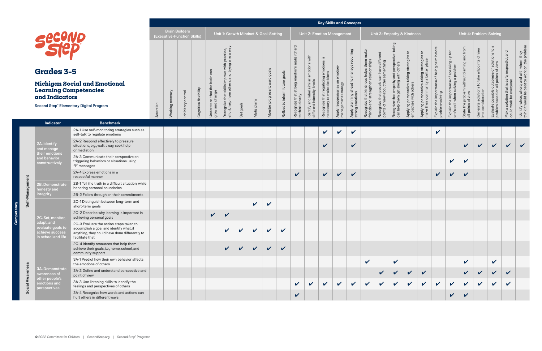|                                                                          |                                                                                                                                                        |           | <b>Brain Builders</b><br>(Executive-Function Skills) |                    |                       |                                       | Unit 1: Growth Mindset & Goal-Setting                                           |              |              |                               |                                   |                                                      |                                                                                            |                                                                    | <b>Unit 2: Emotion Management</b>                      |                                                         |                                                                            |                                                                             |                                                                  | Unit 3: Empathy & Kindness                                    |                                                                              |                                                         |                                                                 |                                                                  |                                                                     | Unit 4: Problem-Solving                                                           |                                                       |                                                                                           |
|--------------------------------------------------------------------------|--------------------------------------------------------------------------------------------------------------------------------------------------------|-----------|------------------------------------------------------|--------------------|-----------------------|---------------------------------------|---------------------------------------------------------------------------------|--------------|--------------|-------------------------------|-----------------------------------|------------------------------------------------------|--------------------------------------------------------------------------------------------|--------------------------------------------------------------------|--------------------------------------------------------|---------------------------------------------------------|----------------------------------------------------------------------------|-----------------------------------------------------------------------------|------------------------------------------------------------------|---------------------------------------------------------------|------------------------------------------------------------------------------|---------------------------------------------------------|-----------------------------------------------------------------|------------------------------------------------------------------|---------------------------------------------------------------------|-----------------------------------------------------------------------------------|-------------------------------------------------------|-------------------------------------------------------------------------------------------|
| Securio<br><b>Grades 3-5</b>                                             |                                                                                                                                                        |           |                                                      |                    |                       | can                                   | improve with practice,<br>rs, and trying a new way                              |              |              |                               |                                   | it hard<br>le<br>$\overline{\sigma}$                 | with<br>emotions                                                                           | emotions is                                                        |                                                        | recurring                                               | mak                                                                        | ent<br>differ                                                               | taking<br>perspeo                                                | $\overline{c}$                                                | $\mathsf{c}_1$                                                               |                                                         | $\overleftarrow{\text{d}}$<br>e of speaking up f<br>  a problem |                                                                  |                                                                     | $\sigma$                                                                          | afe, respectful, and                                  |                                                                                           |
| <b>Learning Competencies</b><br>and Indicators                           | <b>Michigan Social and Emotional</b><br>Second Step® Elementary Digital Program                                                                        | Attention | Working memory                                       | Inhibitory control | Cognitive flexibility | Understand that th<br>grow and change | $\stackrel{\circ}{=}$<br>oth<br>that s<br>from<br>Recognize t<br>effort, help 1 | Set goals    | Make plans   | Monitor progress toward goals | goals<br>Reflect to inform future | motio<br>Recognize that strong e<br>to think clearly | $\frac{a}{\varpi}$<br>simila<br>level<br>sity<br>Identify and label<br>different intensity | lating<br>$\frac{e}{d}$<br>Recognize that reg<br>necessary to make | Apply reappraisal as an emotion<br>management strategy | ahead to manage<br>Apply planning ah<br>strong emotions | Recognize that kindness helps them<br>friends and strengthen relationships | Recognize that people can have diffi<br>points of view about the same thing | and<br>with<br>Recognize that empathy<br>can help them get along | Applying perspective-taking strategi<br>empathize with others | Applying perspective-taking strategie<br>make their community a better place | Explain the importance of being calm<br>problem-solving | Explain the importance<br>one's self when solving               | State the problem without blaming and from<br>all points of view | Generate solutions to take all points of view<br>into consideration | Evaluate possible outcomes of solutions to<br>problem based on all points of view | Pick a solution that is sa<br>could work for everyone | ldentify when, where, and with whom they<br>think it would be best to work on the problem |
| <b>Indicator</b>                                                         | <b>Benchmark</b>                                                                                                                                       |           |                                                      |                    |                       |                                       |                                                                                 |              |              |                               |                                   |                                                      |                                                                                            |                                                                    |                                                        |                                                         |                                                                            |                                                                             |                                                                  |                                                               |                                                                              |                                                         |                                                                 |                                                                  |                                                                     |                                                                                   |                                                       |                                                                                           |
|                                                                          | 2A-1 Use self-monitoring strategies such as<br>self-talk to regulate emotions                                                                          |           |                                                      |                    |                       |                                       |                                                                                 |              |              |                               |                                   |                                                      |                                                                                            | V                                                                  | $\checkmark$                                           | $\checkmark$                                            |                                                                            |                                                                             |                                                                  |                                                               |                                                                              | $\checkmark$                                            |                                                                 |                                                                  |                                                                     |                                                                                   |                                                       |                                                                                           |
| 2A. Identify<br>and manage                                               | 2A-2 Respond effectively to pressure<br>situations, e.g., walk away, seek help<br>or mediation                                                         |           |                                                      |                    |                       |                                       |                                                                                 |              |              |                               |                                   |                                                      |                                                                                            | $\checkmark$                                                       |                                                        | $\checkmark$                                            |                                                                            |                                                                             |                                                                  |                                                               |                                                                              |                                                         |                                                                 | $\checkmark$                                                     | $\checkmark$                                                        | $\mathbf{v}$                                                                      | $\vee$ $\vee$                                         |                                                                                           |
| their emotions<br>and behavior<br>constructively                         | 2A-3 Communicate their perspective on<br>triggering behaviors or situations using<br>"I" messages                                                      |           |                                                      |                    |                       |                                       |                                                                                 |              |              |                               |                                   |                                                      |                                                                                            |                                                                    |                                                        |                                                         |                                                                            |                                                                             |                                                                  |                                                               |                                                                              |                                                         | $\mathbf v$                                                     | $\checkmark$                                                     |                                                                     |                                                                                   |                                                       |                                                                                           |
|                                                                          | 2A-4 Express emotions in a<br>respectful manner                                                                                                        |           |                                                      |                    |                       |                                       |                                                                                 |              |              |                               |                                   | $\checkmark$                                         |                                                                                            | $\mathbf{v}$                                                       | $\sqrt{2}$                                             | $\checkmark$                                            |                                                                            |                                                                             |                                                                  |                                                               |                                                                              | $\sqrt{2}$                                              | $\sqrt{2}$                                                      | $\checkmark$                                                     |                                                                     |                                                                                   |                                                       |                                                                                           |
| 2B. Demonstrate<br>honesty and                                           | 2B-1 Tell the truth in a difficult situation, while<br>honoring personal boundaries                                                                    |           |                                                      |                    |                       |                                       |                                                                                 |              |              |                               |                                   |                                                      |                                                                                            |                                                                    |                                                        |                                                         |                                                                            |                                                                             |                                                                  |                                                               |                                                                              |                                                         |                                                                 |                                                                  |                                                                     |                                                                                   |                                                       |                                                                                           |
| integrity                                                                | 2B-2 Follow through on their commitments                                                                                                               |           |                                                      |                    |                       |                                       |                                                                                 |              |              |                               |                                   |                                                      |                                                                                            |                                                                    |                                                        |                                                         |                                                                            |                                                                             |                                                                  |                                                               |                                                                              |                                                         |                                                                 |                                                                  |                                                                     |                                                                                   |                                                       |                                                                                           |
|                                                                          | 2C-1 Distinguish between long-term and<br>short-term goals                                                                                             |           |                                                      |                    |                       |                                       |                                                                                 |              | $\checkmark$ | $\checkmark$                  |                                   |                                                      |                                                                                            |                                                                    |                                                        |                                                         |                                                                            |                                                                             |                                                                  |                                                               |                                                                              |                                                         |                                                                 |                                                                  |                                                                     |                                                                                   |                                                       |                                                                                           |
| 2C. Set, monitor,                                                        | 2C-2 Describe why learning is important in<br>achieving personal goals                                                                                 |           |                                                      |                    |                       | $\checkmark$                          | $\boldsymbol{\mathcal{U}}$                                                      |              |              |                               |                                   |                                                      |                                                                                            |                                                                    |                                                        |                                                         |                                                                            |                                                                             |                                                                  |                                                               |                                                                              |                                                         |                                                                 |                                                                  |                                                                     |                                                                                   |                                                       |                                                                                           |
| adapt, and<br>evaluate goals to<br>achieve success<br>in school and life | 2C-3 Evaluate the action steps taken to<br>accomplish a goal and identify what, if<br>anything, they could have done differently to<br>facilitate that |           |                                                      |                    |                       |                                       | $\checkmark$                                                                    |              |              | $\mathbf{v}$                  | $\checkmark$                      |                                                      |                                                                                            |                                                                    |                                                        |                                                         |                                                                            |                                                                             |                                                                  |                                                               |                                                                              |                                                         |                                                                 |                                                                  |                                                                     |                                                                                   |                                                       |                                                                                           |
|                                                                          | 2C-4 Identify resources that help them<br>achieve their goals, i.e., home, school, and<br>community support                                            |           |                                                      |                    |                       |                                       | $\sqrt{ }$                                                                      | $\mathbf{v}$ | $\vee$       | $\boldsymbol{V}$              | $\mathbf v$                       |                                                      |                                                                                            |                                                                    |                                                        |                                                         |                                                                            |                                                                             |                                                                  |                                                               |                                                                              |                                                         |                                                                 |                                                                  |                                                                     |                                                                                   |                                                       |                                                                                           |
|                                                                          | 3A-1 Predict how their own behavior affects<br>the emotions of others                                                                                  |           |                                                      |                    |                       |                                       |                                                                                 |              |              |                               |                                   |                                                      |                                                                                            |                                                                    |                                                        |                                                         | $\checkmark$                                                               |                                                                             | $\checkmark$                                                     |                                                               |                                                                              |                                                         |                                                                 | $\checkmark$                                                     |                                                                     | $\checkmark$                                                                      |                                                       |                                                                                           |
| <b>3A. Demonstrate</b><br>awareness of                                   | 3A-2 Define and understand perspective and<br>point of view                                                                                            |           |                                                      |                    |                       |                                       |                                                                                 |              |              |                               |                                   |                                                      |                                                                                            |                                                                    |                                                        |                                                         |                                                                            | $\sqrt{ }$                                                                  |                                                                  | $\sqrt{2}$                                                    |                                                                              |                                                         |                                                                 | V                                                                |                                                                     |                                                                                   |                                                       |                                                                                           |
| other people's<br>emotions and<br>perspectives <b>\</b>                  | 3A-3 Use listening skills to identify the<br>feelings and perspectives of others                                                                       |           |                                                      |                    |                       |                                       |                                                                                 |              |              |                               |                                   | $\mathbf v$                                          | $\checkmark$                                                                               | $\checkmark$                                                       | $\checkmark$                                           | $\checkmark$                                            | $\boldsymbol{\mathcal{U}}$                                                 | $\checkmark$                                                                |                                                                  |                                                               | $\mathbf{v}$                                                                 | $\mathbf v$                                             | $\checkmark$                                                    |                                                                  |                                                                     |                                                                                   |                                                       |                                                                                           |
|                                                                          | 3A-4 Recognize how words and actions can<br>hurt others in different ways                                                                              |           |                                                      |                    |                       |                                       |                                                                                 |              |              |                               |                                   | $\checkmark$                                         |                                                                                            |                                                                    |                                                        |                                                         |                                                                            |                                                                             |                                                                  |                                                               |                                                                              |                                                         | $\checkmark$                                                    | $\checkmark$                                                     |                                                                     |                                                                                   |                                                       |                                                                                           |

**Competency**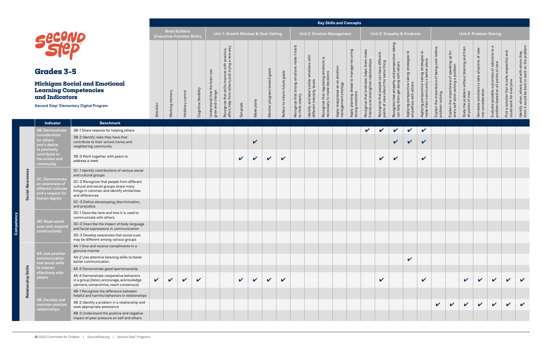|             |                                                                                                |                                                                                                                                                     |            |                | <b>Brain Builders</b><br>(Executive-Function Skills) |                       |                                              | Unit 1: Growth Mindset & Goal-Setting                                                                                             |              |                            |                               |                                   |                                                                                              |                                                                          |                                                                              | <b>Unit 2: Emotion Management</b>                      |                                                            |                                                                                   |                                                                                              |                                                                                       | Unit 3: Empathy & Kindness                                                     |                                                                                    |                                                         |                                                                                                          |                                                                  |                                                                     | Unit 4: Problem-Solving                                                                       |                                                                               |                                                                                           |
|-------------|------------------------------------------------------------------------------------------------|-----------------------------------------------------------------------------------------------------------------------------------------------------|------------|----------------|------------------------------------------------------|-----------------------|----------------------------------------------|-----------------------------------------------------------------------------------------------------------------------------------|--------------|----------------------------|-------------------------------|-----------------------------------|----------------------------------------------------------------------------------------------|--------------------------------------------------------------------------|------------------------------------------------------------------------------|--------------------------------------------------------|------------------------------------------------------------|-----------------------------------------------------------------------------------|----------------------------------------------------------------------------------------------|---------------------------------------------------------------------------------------|--------------------------------------------------------------------------------|------------------------------------------------------------------------------------|---------------------------------------------------------|----------------------------------------------------------------------------------------------------------|------------------------------------------------------------------|---------------------------------------------------------------------|-----------------------------------------------------------------------------------------------|-------------------------------------------------------------------------------|-------------------------------------------------------------------------------------------|
|             | Secuvo<br><b>Grades 3-5</b><br><b>Learning Competencies</b><br>and Indicators                  | <b>Michigan Social and Emotional</b><br><b>Second Step® Elementary Digital Program</b>                                                              | Attention  | Working memory | Inhibitory control                                   | Cognitive flexibility | can<br>Understand that th<br>grow and change | improve with practice,<br>rs, and trying a new way<br>other<br>$\bar{\bar{5}}$<br>that s<br>from<br>Recognize t<br>effort, help 1 | Set goals    | Make plans                 | Monitor progress toward goals | goals<br>Reflect to inform future | it hard<br>le<br>$\overline{\sigma}$<br>motio<br>Recognize that strong e<br>to think clearly | with<br>emotions<br>similar<br>Identify and label<br>different intensity | emotions is<br>lating<br>$\theta$<br>Recognize that reg<br>necessary to make | Apply reappraisal as an emotion<br>management strategy | rring<br>Apply planning ahead to manage<br>strong emotions | mak<br>Recognize that kindness helps them<br>friends and strengthen relationships | ent<br>differ<br>Recognize that people can have diffi<br>points of view about the same thing | taking<br>perspeo<br>and<br>with<br>Recognize that empathy<br>can help them get along | $\mathbf{r}$<br>Applying perspective-taking strategie<br>empathize with others | °1<br>Applying perspective-taking strategie<br>make their community a better place | Explain the importance of being calm<br>problem-solving | $\overline{6}$<br>e of speaking up f<br>  a problem<br>Explain the importance<br>one's self when solving | State the problem without blaming and from<br>all points of view | Generate solutions to take all points of view<br>into consideration | $\sigma$<br>Evaluate possible outcomes of solutions to<br>problem based on all points of view | afe, respectful, and<br>Pick a solution that is sa<br>could work for everyone | ldentify when, where, and with whom they<br>think it would be best to work on the problem |
|             | <b>Indicator</b>                                                                               | <b>Benchmark</b>                                                                                                                                    |            |                |                                                      |                       |                                              |                                                                                                                                   |              |                            |                               |                                   |                                                                                              |                                                                          |                                                                              |                                                        |                                                            |                                                                                   |                                                                                              |                                                                                       |                                                                                |                                                                                    |                                                         |                                                                                                          |                                                                  |                                                                     |                                                                                               |                                                                               |                                                                                           |
|             | 3B. Demonstrate<br>consideration                                                               | 3B-1 Share reasons for helping others                                                                                                               |            |                |                                                      |                       |                                              |                                                                                                                                   |              |                            |                               |                                   |                                                                                              |                                                                          |                                                                              |                                                        |                                                            | $\sqrt{ }$                                                                        | $\checkmark$                                                                                 | $\checkmark$                                                                          | $\checkmark$                                                                   | $\checkmark$                                                                       |                                                         |                                                                                                          |                                                                  |                                                                     |                                                                                               |                                                                               |                                                                                           |
|             | for others<br>and a desire<br>to positively                                                    | 3B-2 Identify roles they have that<br>contribute to their school, home, and<br>neighboring community                                                |            |                |                                                      |                       |                                              |                                                                                                                                   |              | $\boldsymbol{\mathcal{U}}$ |                               |                                   |                                                                                              |                                                                          |                                                                              |                                                        |                                                            |                                                                                   |                                                                                              | $\checkmark$                                                                          | $\boldsymbol{\mathcal{U}}$                                                     | $\checkmark$                                                                       |                                                         |                                                                                                          |                                                                  |                                                                     |                                                                                               |                                                                               |                                                                                           |
|             | contribute to<br>the school and<br>community                                                   | 3B-3 Work together with peers to<br>address a need                                                                                                  |            |                |                                                      |                       |                                              |                                                                                                                                   | V            | $\boldsymbol{\nu}$         | $\mathbf v$                   | $\boldsymbol{\mathcal{U}}$        |                                                                                              |                                                                          |                                                                              |                                                        |                                                            |                                                                                   | $\checkmark$                                                                                 | V                                                                                     |                                                                                | $\checkmark$                                                                       |                                                         |                                                                                                          |                                                                  |                                                                     |                                                                                               |                                                                               |                                                                                           |
|             |                                                                                                | 3C-1 Identify contributions of various social<br>and cultural groups                                                                                |            |                |                                                      |                       |                                              |                                                                                                                                   |              |                            |                               |                                   |                                                                                              |                                                                          |                                                                              |                                                        |                                                            |                                                                                   |                                                                                              |                                                                                       |                                                                                |                                                                                    |                                                         |                                                                                                          |                                                                  |                                                                     |                                                                                               |                                                                               |                                                                                           |
|             | 3C. Demonstrate<br>an awareness of<br>different cultures<br>and a respect for<br>human dignity | 3C-2 Recognize that people from different<br>cultural and social groups share many<br>things in common and identify similarities<br>and differences |            |                |                                                      |                       |                                              |                                                                                                                                   |              |                            |                               |                                   |                                                                                              |                                                                          |                                                                              |                                                        |                                                            |                                                                                   |                                                                                              |                                                                                       |                                                                                |                                                                                    |                                                         |                                                                                                          |                                                                  |                                                                     |                                                                                               |                                                                               |                                                                                           |
|             |                                                                                                | 3C-3 Define stereotyping, discrimination,<br>and prejudice                                                                                          |            |                |                                                      |                       |                                              |                                                                                                                                   |              |                            |                               |                                   |                                                                                              |                                                                          |                                                                              |                                                        |                                                            |                                                                                   |                                                                                              |                                                                                       |                                                                                |                                                                                    |                                                         |                                                                                                          |                                                                  |                                                                     |                                                                                               |                                                                               |                                                                                           |
|             | <b>3D. Read social</b>                                                                         | 3D-1 Describe tone and how it is used to<br>communicate with others                                                                                 |            |                |                                                      |                       |                                              |                                                                                                                                   |              |                            |                               |                                   |                                                                                              |                                                                          |                                                                              |                                                        |                                                            |                                                                                   |                                                                                              |                                                                                       |                                                                                |                                                                                    |                                                         |                                                                                                          |                                                                  |                                                                     |                                                                                               |                                                                               |                                                                                           |
|             | cues and respond<br>constructively                                                             | 3D-2 Describe the impact of body language<br>and facial expressions in communication                                                                |            |                |                                                      |                       |                                              |                                                                                                                                   |              |                            |                               |                                   |                                                                                              |                                                                          |                                                                              |                                                        |                                                            |                                                                                   |                                                                                              |                                                                                       |                                                                                |                                                                                    |                                                         |                                                                                                          |                                                                  |                                                                     |                                                                                               |                                                                               |                                                                                           |
|             |                                                                                                | 3D-3 Develop awareness that social cues<br>may be different among various groups                                                                    |            |                |                                                      |                       |                                              |                                                                                                                                   |              |                            |                               |                                   |                                                                                              |                                                                          |                                                                              |                                                        |                                                            |                                                                                   |                                                                                              |                                                                                       |                                                                                |                                                                                    |                                                         |                                                                                                          |                                                                  |                                                                     |                                                                                               |                                                                               |                                                                                           |
|             | 4A. Use positive                                                                               | 4A-1 Give and receive compliments in a<br>genuine manner                                                                                            |            |                |                                                      |                       |                                              |                                                                                                                                   |              |                            |                               |                                   |                                                                                              |                                                                          |                                                                              |                                                        |                                                            |                                                                                   |                                                                                              |                                                                                       |                                                                                |                                                                                    |                                                         |                                                                                                          |                                                                  |                                                                     |                                                                                               |                                                                               |                                                                                           |
|             | communication<br>and social skills                                                             | 4A-2 Use attentive listening skills to foster<br>better communication                                                                               |            |                |                                                      |                       |                                              |                                                                                                                                   |              |                            |                               |                                   |                                                                                              |                                                                          |                                                                              |                                                        |                                                            |                                                                                   |                                                                                              |                                                                                       | $\checkmark$                                                                   |                                                                                    |                                                         |                                                                                                          |                                                                  |                                                                     |                                                                                               |                                                                               |                                                                                           |
| Skills      | to interact<br>effectively with                                                                | 4A-3 Demonstrate good sportsmanship                                                                                                                 |            |                |                                                      |                       |                                              |                                                                                                                                   |              |                            |                               |                                   |                                                                                              |                                                                          |                                                                              |                                                        |                                                            |                                                                                   |                                                                                              |                                                                                       |                                                                                |                                                                                    |                                                         |                                                                                                          |                                                                  |                                                                     |                                                                                               |                                                                               |                                                                                           |
| Relationshi | others                                                                                         | 4A-4 Demonstrate cooperative behaviors<br>in a group (listen, encourage, acknowledge<br>opinions, compromise, reach consensus)                      | $\sqrt{2}$ | $\checkmark$   | $\checkmark$                                         | $\checkmark$          |                                              |                                                                                                                                   | $\mathbf{v}$ | $\mathbf{v}$               | $\checkmark$                  | $\checkmark$                      |                                                                                              |                                                                          |                                                                              |                                                        |                                                            |                                                                                   | $\checkmark$                                                                                 |                                                                                       |                                                                                | $\mathbf{v}$                                                                       |                                                         |                                                                                                          | $\checkmark$                                                     | $\mathbf{v}$                                                        | $\mathbf v$                                                                                   |                                                                               |                                                                                           |
|             | 4B. Develop and                                                                                | 4B-1 Recognize the difference between<br>helpful and harmful behaviors in relationships                                                             |            |                |                                                      |                       |                                              |                                                                                                                                   |              |                            |                               |                                   |                                                                                              |                                                                          |                                                                              |                                                        |                                                            |                                                                                   |                                                                                              |                                                                                       |                                                                                |                                                                                    |                                                         |                                                                                                          |                                                                  |                                                                     |                                                                                               |                                                                               |                                                                                           |
|             | maintain positive<br>relationships                                                             | 4B-2 Identify a problem in a relationship and<br>seek appropriate assistance                                                                        |            |                |                                                      |                       |                                              |                                                                                                                                   |              |                            |                               |                                   |                                                                                              |                                                                          |                                                                              |                                                        |                                                            |                                                                                   |                                                                                              |                                                                                       |                                                                                |                                                                                    |                                                         | $\sqrt{2}$                                                                                               | $\checkmark$                                                     | $\checkmark$                                                        |                                                                                               |                                                                               |                                                                                           |
|             |                                                                                                | 4B-3 Understand the positive and negative<br>impact of peer pressure on self and others                                                             |            |                |                                                      |                       |                                              |                                                                                                                                   |              |                            |                               |                                   |                                                                                              |                                                                          |                                                                              |                                                        |                                                            |                                                                                   |                                                                                              |                                                                                       |                                                                                |                                                                                    |                                                         |                                                                                                          |                                                                  |                                                                     |                                                                                               |                                                                               |                                                                                           |

**Competency**

ုဒ္ပ

ency ā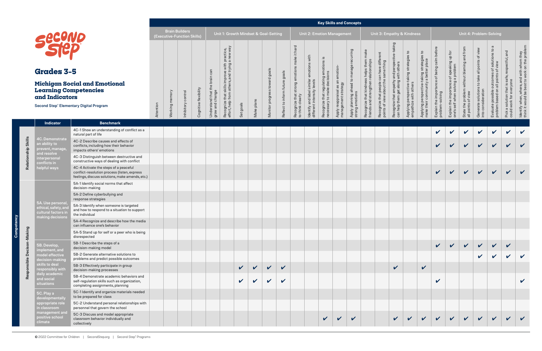**Competency**

Comp

ing

|                     |                                                                |                                                                                                                                          |           | <b>Brain Builders</b><br>(Executive-Function Skills) |                    |                       |                                        | Unit 1: Growth Mindset & Goal-Setting              |              |              |                          |                                            |                                                    |                                                   |                                                        | <b>Unit 2: Emotion Management</b>              |                                         |                                                                            |                                                                              |                                                                           | Unit 3: Empathy & Kindness                                   |                                                                              |                                                         |                                                     |                                                                  |                                                                     | Unit 4: Problem-Solving                                                                       |                                                       |                                                                                           |
|---------------------|----------------------------------------------------------------|------------------------------------------------------------------------------------------------------------------------------------------|-----------|------------------------------------------------------|--------------------|-----------------------|----------------------------------------|----------------------------------------------------|--------------|--------------|--------------------------|--------------------------------------------|----------------------------------------------------|---------------------------------------------------|--------------------------------------------------------|------------------------------------------------|-----------------------------------------|----------------------------------------------------------------------------|------------------------------------------------------------------------------|---------------------------------------------------------------------------|--------------------------------------------------------------|------------------------------------------------------------------------------|---------------------------------------------------------|-----------------------------------------------------|------------------------------------------------------------------|---------------------------------------------------------------------|-----------------------------------------------------------------------------------------------|-------------------------------------------------------|-------------------------------------------------------------------------------------------|
|                     | <b>Grades 3-5</b>                                              |                                                                                                                                          |           |                                                      |                    |                       | can                                    | improve with practice,<br>rs, and trying a new way |              |              |                          | goals                                      | hard<br>make it                                    | emotions with                                     | ating emotions is<br>ecisions                          | emotion                                        | puin<br>recur<br>to manage              |                                                                            | ent                                                                          | taking                                                                    | -c                                                           | $\mathsf{S}$                                                                 | before                                                  | e of speaking up for<br>g a problem                 | State the problem without blaming and from<br>all points of view | Generate solutions to take all points of view<br>into consideration | $\sigma$<br>Evaluate possible outcomes of solutions to<br>problem based on all points of view | and<br>safe, respectful,                              | ldentify when, where, and with whom they<br>think it would be best to work on the problem |
|                     | <b>Learning Competencies</b><br>and Indicators                 | <b>Michigan Social and Emotional</b>                                                                                                     |           |                                                      |                    | Cognitive flexibility | Understand that the<br>grow and change | skills<br>흉                                        |              |              | toward goals<br>$\omega$ | $\mathbf{\Phi}$<br>Reflect to inform futur | Recognize that strong emotions<br>to think clearly | similar<br>/ levels<br>$\overline{\mathsf{v}}$ is | Recognize that regulating<br>necessary to make decisic | Apply reappraisal as an<br>management strategy | Apply planning ahead<br>strong emotions | Recognize that kindness helps them<br>friends and strengthen relationships | Recognize that people can have differ<br>points of view about the same thing | Recognize that empathy and perspec<br>can help them get along with others | Applying perspective-taking strateg<br>empathize with others | Applying perspective-taking strategie<br>make their community a better place | Explain the importance of being calm<br>problem-solving | Explain the importance<br>one's self when solving   |                                                                  |                                                                     |                                                                                               | Pick a solution that is sa<br>could work for everyone |                                                                                           |
|                     |                                                                | <b>Second Step® Elementary Digital Program</b>                                                                                           | Attention | Working memory                                       | Inhibitory control |                       |                                        | Recognize that s<br>effort, help from o            | Set goals    | Make plans   | Monitor progres          |                                            |                                                    | Identify and label s<br>different intensity l     |                                                        |                                                |                                         |                                                                            |                                                                              |                                                                           |                                                              |                                                                              |                                                         |                                                     |                                                                  |                                                                     |                                                                                               |                                                       |                                                                                           |
|                     | <b>Indicator</b>                                               | <b>Benchmark</b>                                                                                                                         |           |                                                      |                    |                       |                                        |                                                    |              |              |                          |                                            |                                                    |                                                   |                                                        |                                                |                                         |                                                                            |                                                                              |                                                                           |                                                              |                                                                              |                                                         |                                                     |                                                                  |                                                                     |                                                                                               |                                                       |                                                                                           |
|                     |                                                                | 4C-1 Show an understanding of conflict as a<br>natural part of life                                                                      |           |                                                      |                    |                       |                                        |                                                    |              |              |                          |                                            |                                                    |                                                   |                                                        |                                                |                                         |                                                                            |                                                                              |                                                                           |                                                              |                                                                              | $\checkmark$                                            | $\checkmark$                                        | V                                                                | $\mathbf v$                                                         | $\checkmark$                                                                                  | $\checkmark$                                          | $\checkmark$                                                                              |
| Relationship Skills | 4C. Demonstrate<br>an ability to<br>prevent, manage,           | 4C-2 Describe causes and effects of<br>conflicts, including how their behavior<br>impacts others' emotions                               |           |                                                      |                    |                       |                                        |                                                    |              |              |                          |                                            |                                                    |                                                   |                                                        |                                                |                                         |                                                                            |                                                                              |                                                                           |                                                              |                                                                              | $\mathbf{v}$                                            | $\mathbf{v}$                                        | $\mathbf{v}$                                                     | $\mathbf{v}$                                                        | $\boldsymbol{\mathcal{U}}$                                                                    | $\mathbf v$                                           | $\mathbf{v}$                                                                              |
|                     | and resolve<br>interpersonal<br>conflicts in                   | 4C-3 Distinguish between destructive and<br>constructive ways of dealing with conflict                                                   |           |                                                      |                    |                       |                                        |                                                    |              |              |                          |                                            |                                                    |                                                   |                                                        |                                                |                                         |                                                                            |                                                                              |                                                                           |                                                              |                                                                              |                                                         |                                                     |                                                                  |                                                                     |                                                                                               |                                                       |                                                                                           |
|                     | helpful ways                                                   | 4C-4 Activate the steps of a peaceful<br>conflict-resolution process (listen, express<br>feelings, discuss solutions, make amends, etc.) |           |                                                      |                    |                       |                                        |                                                    |              |              |                          |                                            |                                                    |                                                   |                                                        |                                                |                                         |                                                                            |                                                                              |                                                                           |                                                              |                                                                              | $\mathbf{v}$                                            | $\vee$                                              | $\vert$ $\vert$                                                  | $\vee$                                                              | $\mathbf{v}$                                                                                  | $\checkmark$                                          | $\mathbf v$                                                                               |
|                     |                                                                | 5A-1 Identify social norms that affect<br>decision-making                                                                                |           |                                                      |                    |                       |                                        |                                                    |              |              |                          |                                            |                                                    |                                                   |                                                        |                                                |                                         |                                                                            |                                                                              |                                                                           |                                                              |                                                                              |                                                         |                                                     |                                                                  |                                                                     |                                                                                               |                                                       |                                                                                           |
|                     | 5A. Use personal                                               | 5A-2 Define cyberbullying and<br>response strategies                                                                                     |           |                                                      |                    |                       |                                        |                                                    |              |              |                          |                                            |                                                    |                                                   |                                                        |                                                |                                         |                                                                            |                                                                              |                                                                           |                                                              |                                                                              |                                                         |                                                     |                                                                  |                                                                     |                                                                                               |                                                       |                                                                                           |
|                     | ethical, safety, an<br>cultural factors in<br>making decisions | 5A-3 Identify when someone is targeted<br>and how to respond to a situation to support<br>the individual                                 |           |                                                      |                    |                       |                                        |                                                    |              |              |                          |                                            |                                                    |                                                   |                                                        |                                                |                                         |                                                                            |                                                                              |                                                                           |                                                              |                                                                              |                                                         |                                                     |                                                                  |                                                                     |                                                                                               |                                                       |                                                                                           |
|                     |                                                                | 5A-4 Recognize and describe how the media<br>can influence one's behavior                                                                |           |                                                      |                    |                       |                                        |                                                    |              |              |                          |                                            |                                                    |                                                   |                                                        |                                                |                                         |                                                                            |                                                                              |                                                                           |                                                              |                                                                              |                                                         |                                                     |                                                                  |                                                                     |                                                                                               |                                                       |                                                                                           |
| Decison-Making      |                                                                | 5A-5 Stand up for self or a peer who is being<br>disrespected                                                                            |           |                                                      |                    |                       |                                        |                                                    |              |              |                          |                                            |                                                    |                                                   |                                                        |                                                |                                         |                                                                            |                                                                              |                                                                           |                                                              |                                                                              |                                                         |                                                     |                                                                  |                                                                     |                                                                                               |                                                       |                                                                                           |
|                     | 5B. Develop,<br>implement, and                                 | 5B-1 Describe the steps of a<br>decision-making model                                                                                    |           |                                                      |                    |                       |                                        |                                                    |              |              |                          |                                            |                                                    |                                                   |                                                        |                                                |                                         |                                                                            |                                                                              |                                                                           |                                                              |                                                                              |                                                         | $\mathbf{v}$ $\mathbf{v}$ $\mathbf{v}$ $\mathbf{v}$ |                                                                  |                                                                     | $\vert$ $\vert$                                                                               | $\checkmark$                                          |                                                                                           |
|                     | model effective<br>decision-making                             | 5B-2 Generate alternative solutions to<br>problems and predict possible outcomes                                                         |           |                                                      |                    |                       |                                        |                                                    |              |              |                          |                                            |                                                    |                                                   |                                                        |                                                |                                         |                                                                            |                                                                              |                                                                           |                                                              |                                                                              |                                                         |                                                     |                                                                  | $\boldsymbol{\mathcal{U}}$                                          | $\mathbf v$                                                                                   | $\checkmark$                                          | $\mathbf v$                                                                               |
| Responsible         | skills to deal<br>responsibly with<br>daily academic           | 5B-3 Effectively participate in group<br>decision-making processes                                                                       |           |                                                      |                    |                       |                                        |                                                    | $\mathbf{v}$ | $\vee$       | $\vee$ $\vee$            |                                            |                                                    |                                                   |                                                        |                                                |                                         |                                                                            |                                                                              | $\checkmark$                                                              |                                                              | $\checkmark$                                                                 |                                                         |                                                     |                                                                  |                                                                     |                                                                                               |                                                       |                                                                                           |
|                     | and social<br>situations                                       | 5B-4 Demonstrate academic behaviors and<br>self-regulation skills such as organization,<br>completing assignments, planning              |           |                                                      |                    |                       |                                        |                                                    | $\mathbf{v}$ | $\mathbf{v}$ | $\checkmark$             | $\boldsymbol{\mathcal{U}}$                 |                                                    |                                                   |                                                        |                                                |                                         |                                                                            |                                                                              |                                                                           |                                                              |                                                                              | $\checkmark$                                            |                                                     |                                                                  |                                                                     |                                                                                               |                                                       |                                                                                           |
|                     | 5C. Play a<br>developmentally                                  | 5C-1 Identify and organize materials needed<br>to be prepared for class                                                                  |           |                                                      |                    |                       |                                        |                                                    |              |              |                          |                                            |                                                    |                                                   |                                                        |                                                |                                         |                                                                            |                                                                              |                                                                           |                                                              |                                                                              |                                                         |                                                     |                                                                  |                                                                     |                                                                                               |                                                       |                                                                                           |
|                     | appropriate role<br>in classroom                               | 5C-2 Understand personal relationships with<br>personnel that govern the school                                                          |           |                                                      |                    |                       |                                        |                                                    |              |              |                          |                                            |                                                    |                                                   |                                                        |                                                |                                         |                                                                            |                                                                              |                                                                           |                                                              |                                                                              |                                                         |                                                     |                                                                  |                                                                     |                                                                                               |                                                       |                                                                                           |
|                     | management and<br>positive school<br>climate                   | 5C-3 Discuss and model appropriate<br>classroom behavior individually and<br>collectively                                                |           |                                                      |                    |                       |                                        |                                                    |              |              |                          |                                            |                                                    |                                                   | $\mathbf{v}$                                           | $\checkmark$                                   | $\checkmark$                            |                                                                            |                                                                              | $\vee$                                                                    | $\vee$                                                       |                                                                              | $v$ $v$ $v$ $v$ $v$                                     |                                                     |                                                                  |                                                                     | $\vert$ $\vert$                                                                               | $\vee$ $\vee$                                         |                                                                                           |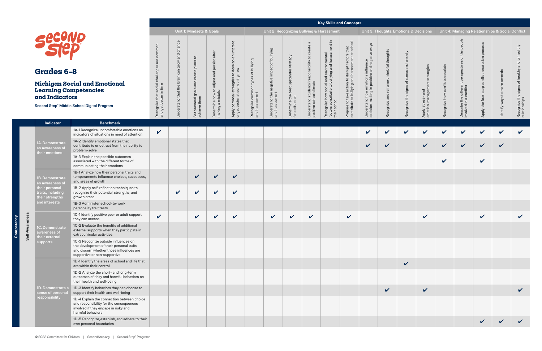# **Learning Competencies and Indicators**

|                                                                                |                                               |                                                                 |                                                                  |                                                                                                      |                                                      |                                                              |                                                                |                                                                               | <b>Key Skills and Concepts</b>                                                                             |                                                                                                      |                                                                                       |                                          |
|--------------------------------------------------------------------------------|-----------------------------------------------|-----------------------------------------------------------------|------------------------------------------------------------------|------------------------------------------------------------------------------------------------------|------------------------------------------------------|--------------------------------------------------------------|----------------------------------------------------------------|-------------------------------------------------------------------------------|------------------------------------------------------------------------------------------------------------|------------------------------------------------------------------------------------------------------|---------------------------------------------------------------------------------------|------------------------------------------|
|                                                                                |                                               | <b>Unit 1: Mindsets &amp; Goals</b>                             |                                                                  |                                                                                                      |                                                      |                                                              |                                                                |                                                                               | Unit 2: Recognizing Bullying & Harassment                                                                  |                                                                                                      |                                                                                       | Unit 3: Thoughts, En                     |
| common<br>are<br>social challenges<br>and get better in time<br>Recognize that | Understand that the brain can grow and change | plans to<br>and create<br>personal goals<br>achieve them<br>Set | adjust and persist after<br>Determine how to<br>making a mistake | strengths to develop an interest<br>something new<br>personal<br>better at<br>or get<br><b>Apply</b> | Recognize common types of bullying<br>and harassment | Understand the negative impact of bullying<br>and harassment | Determine the best upstander strategy<br>situation<br>ā<br>for | G<br>Understand students' responsibility to create<br>positive school climate | factors contribute to bullying and harassment in<br>Recognize how social and environmental<br>their school | to bullying and harassment at school<br>Prepare to take action to disrupt factors that<br>contribute | in positive and negative ways<br>Understand how emotions influence<br>decision-making | Recognize and reframe unhelpful thoughts |
|                                                                                |                                               |                                                                 |                                                                  |                                                                                                      |                                                      |                                                              |                                                                |                                                                               |                                                                                                            |                                                                                                      |                                                                                       |                                          |

**Competency**

 $\frac{1}{2}$ 

|                                                                                      |                                                                                                                                                              |                                                                    |                                               |                                                                                                |                                                                                                      |                                                                                  |                                                         |                                                                                               |                                        |                                                                                                        | <b>Rey Skills and Concepts</b>                                                                              |                                                                                                                  |                                                                                                    |                                                                            |                                                                      |                                                 |                                    |                                                                                                   |                                             |                                               |                                                                                               |
|--------------------------------------------------------------------------------------|--------------------------------------------------------------------------------------------------------------------------------------------------------------|--------------------------------------------------------------------|-----------------------------------------------|------------------------------------------------------------------------------------------------|------------------------------------------------------------------------------------------------------|----------------------------------------------------------------------------------|---------------------------------------------------------|-----------------------------------------------------------------------------------------------|----------------------------------------|--------------------------------------------------------------------------------------------------------|-------------------------------------------------------------------------------------------------------------|------------------------------------------------------------------------------------------------------------------|----------------------------------------------------------------------------------------------------|----------------------------------------------------------------------------|----------------------------------------------------------------------|-------------------------------------------------|------------------------------------|---------------------------------------------------------------------------------------------------|---------------------------------------------|-----------------------------------------------|-----------------------------------------------------------------------------------------------|
|                                                                                      |                                                                                                                                                              |                                                                    |                                               | Unit 1: Mindsets & Goals                                                                       |                                                                                                      |                                                                                  |                                                         |                                                                                               |                                        |                                                                                                        | Unit 2: Recognizing Bullying & Harassment                                                                   |                                                                                                                  |                                                                                                    |                                                                            | Unit 3: Thoughts, Emotions & Decisions                               |                                                 |                                    | Unit 4: Managing Relationships & Social Conflict                                                  |                                             |                                               |                                                                                               |
| <b>Secono</b><br><b>Grades 6-8</b><br><b>Learning Competencies</b><br>and Indicators | <b>Michigan Social and Emotional</b><br>Second Step® Middle School Digital Program                                                                           | common<br>Recognize that social challeng<br>and get better in time | change<br>and<br>ਨੋ<br>흐<br>the<br>stand that | $\mathtt{c}_1$<br>plans<br>eate<br>$\overline{5}$<br>and<br>goals a<br>personal g<br>jeve them | aftei<br><u>:ო</u><br>per<br>and<br>$\frac{1}{10}$<br>adju<br>Determine how to a<br>making a mistake | develop an interest<br>strengths to c<br>something ne<br>personal<br>better at : | bullying<br>typ<br><br>Recognize comm<br>and harassment | bullying<br>$\overline{\mathrm{o}}$<br>$\mathbb O$<br>š<br>Understand the n<br>and harassment | strategy<br>e the best upstand<br>tion | $\omega$<br>ξ<br>$\mathtt{S}$<br>sibility<br>nods<br>Understand students' r<br>positive school climate | ent<br>Recognize how social and environmental<br>factors contribute to bullying and harassr<br>their school | $\overline{8}$<br>Prepare to take action to disrupt factors that<br>contribute to bullying and harassment at sch | emotions influence<br>in positive and negative ways<br>how<br>king<br>Understand h<br>decision-mak | unhelpful thoughts<br>reframe<br>$\overline{\mathbf{C}}$<br>$\overline{a}$ | anxiety<br>and<br>SS<br>stre:<br>$\overline{\sigma}$<br>signs<br>the | strategies<br>agem<br>$\sigma$<br>Apply stress- | late<br>conflicts<br>Recognize how | the people<br>đ<br>rspectives<br>$p_{\Theta}$<br>Describe the different<br>involved in a conflict | process<br>esolution<br>$\circ$<br>the four | nds<br>make<br>$\mathsf{c}_1$<br>dentify ways | althy<br><b>S</b><br>$\overline{C}$<br>vupe<br>'ঠ<br>ngis<br>Recognize the s<br>relationships |
|                                                                                      |                                                                                                                                                              |                                                                    |                                               | per<br>Set<br>achi                                                                             |                                                                                                      | Apply<br>or get                                                                  |                                                         |                                                                                               | Determine t<br>for a situatio          |                                                                                                        |                                                                                                             |                                                                                                                  |                                                                                                    | Recognize                                                                  | Recognize                                                            |                                                 |                                    |                                                                                                   | Apply                                       |                                               |                                                                                               |
| Indicator                                                                            | <b>Benchmark</b>                                                                                                                                             |                                                                    |                                               |                                                                                                |                                                                                                      |                                                                                  |                                                         |                                                                                               |                                        |                                                                                                        |                                                                                                             |                                                                                                                  |                                                                                                    |                                                                            |                                                                      |                                                 |                                    |                                                                                                   |                                             |                                               |                                                                                               |
|                                                                                      | 1A-1 Recognize uncomfortable emotions as<br>indicators of situations in need of attention                                                                    | $\checkmark$                                                       |                                               |                                                                                                |                                                                                                      |                                                                                  |                                                         |                                                                                               |                                        |                                                                                                        |                                                                                                             |                                                                                                                  | $\checkmark$                                                                                       | $\checkmark$                                                               | $\checkmark$                                                         | $\checkmark$                                    | $\checkmark$                       | $\checkmark$                                                                                      | $\checkmark$                                | $\checkmark$                                  | $\checkmark$                                                                                  |
| 1A. Demonstrate<br>an awareness of<br>their emotions                                 | 1A-2 Identify emotional states that<br>contribute to or detract from their ability to<br>problem-solve                                                       |                                                                    |                                               |                                                                                                |                                                                                                      |                                                                                  |                                                         |                                                                                               |                                        |                                                                                                        |                                                                                                             |                                                                                                                  | $\checkmark$                                                                                       | $\checkmark$                                                               |                                                                      | $\checkmark$                                    | $\checkmark$                       | $\checkmark$                                                                                      | $\checkmark$                                | $\checkmark$                                  |                                                                                               |
|                                                                                      | 1A-3 Explain the possible outcomes<br>associated with the different forms of<br>communicating their emotions                                                 |                                                                    |                                               |                                                                                                |                                                                                                      |                                                                                  |                                                         |                                                                                               |                                        |                                                                                                        |                                                                                                             |                                                                                                                  |                                                                                                    |                                                                            |                                                                      |                                                 | $\checkmark$                       |                                                                                                   | $\checkmark$                                |                                               |                                                                                               |
| 1B. Demonstrate<br>an awareness of                                                   | 1B-1 Analyze how their personal traits and<br>temperaments influence choices, successes,<br>and areas of growth                                              |                                                                    |                                               | $\checkmark$                                                                                   | $\checkmark$                                                                                         | $\checkmark$                                                                     |                                                         |                                                                                               |                                        |                                                                                                        |                                                                                                             |                                                                                                                  |                                                                                                    |                                                                            |                                                                      |                                                 |                                    |                                                                                                   |                                             |                                               |                                                                                               |
| their personal<br>traits, including<br>their strengths                               | 1B-2 Apply self-reflection techniques to<br>recognize their potential, strengths, and<br>growth areas                                                        |                                                                    | $\checkmark$                                  | $\mathbf v$                                                                                    | $\checkmark$                                                                                         | $\checkmark$                                                                     |                                                         |                                                                                               |                                        |                                                                                                        |                                                                                                             |                                                                                                                  |                                                                                                    |                                                                            |                                                                      |                                                 |                                    |                                                                                                   |                                             |                                               |                                                                                               |
| and interests                                                                        | 1B-3 Administer school-to-work<br>personality trait tests                                                                                                    |                                                                    |                                               |                                                                                                |                                                                                                      |                                                                                  |                                                         |                                                                                               |                                        |                                                                                                        |                                                                                                             |                                                                                                                  |                                                                                                    |                                                                            |                                                                      |                                                 |                                    |                                                                                                   |                                             |                                               |                                                                                               |
|                                                                                      | 1C-1 Identify positive peer or adult support<br>they can access                                                                                              | $\checkmark$                                                       |                                               | $\checkmark$                                                                                   | $\boldsymbol{\mathcal{U}}$                                                                           | $\checkmark$                                                                     |                                                         | $\checkmark$                                                                                  | $\mathbf v$                            | $\checkmark$                                                                                           |                                                                                                             | V                                                                                                                |                                                                                                    |                                                                            |                                                                      | $\checkmark$                                    |                                    |                                                                                                   | $\checkmark$                                |                                               | $\checkmark$                                                                                  |
| 1C. Demonstrate<br>awareness of<br>their external                                    | 1C-2 Evaluate the benefits of additional<br>external supports when they participate in<br>extracurricular activities                                         |                                                                    |                                               |                                                                                                |                                                                                                      |                                                                                  |                                                         |                                                                                               |                                        |                                                                                                        |                                                                                                             |                                                                                                                  |                                                                                                    |                                                                            |                                                                      |                                                 |                                    |                                                                                                   |                                             |                                               |                                                                                               |
| supports                                                                             | 1C-3 Recognize outside influences on<br>the development of their personal traits<br>and discern whether those influences are<br>supportive or non-supportive |                                                                    |                                               |                                                                                                |                                                                                                      |                                                                                  |                                                         |                                                                                               |                                        |                                                                                                        |                                                                                                             |                                                                                                                  |                                                                                                    |                                                                            |                                                                      |                                                 |                                    |                                                                                                   |                                             |                                               |                                                                                               |
|                                                                                      | 1D-1 Identify the areas of school and life that<br>are within their control                                                                                  |                                                                    |                                               |                                                                                                |                                                                                                      |                                                                                  |                                                         |                                                                                               |                                        |                                                                                                        |                                                                                                             |                                                                                                                  |                                                                                                    |                                                                            | $\checkmark$                                                         |                                                 |                                    |                                                                                                   |                                             |                                               |                                                                                               |
|                                                                                      | 1D-2 Analyze the short- and long-term<br>outcomes of risky and harmful behaviors on<br>their health and well-being                                           |                                                                    |                                               |                                                                                                |                                                                                                      |                                                                                  |                                                         |                                                                                               |                                        |                                                                                                        |                                                                                                             |                                                                                                                  |                                                                                                    |                                                                            |                                                                      |                                                 |                                    |                                                                                                   |                                             |                                               |                                                                                               |
| 1D. Demonstrate a<br>sense of persona                                                | 1D-3 Identify behaviors they can choose to<br>support their health and well-being                                                                            |                                                                    |                                               |                                                                                                |                                                                                                      |                                                                                  |                                                         |                                                                                               |                                        |                                                                                                        |                                                                                                             |                                                                                                                  |                                                                                                    | $\checkmark$                                                               |                                                                      | $\checkmark$                                    |                                    |                                                                                                   |                                             |                                               | $\checkmark$                                                                                  |
| responsibility                                                                       | 1D-4 Explain the connection between choice<br>and responsibility for the consequences<br>involved if they engage in risky and<br>harmful behaviors           |                                                                    |                                               |                                                                                                |                                                                                                      |                                                                                  |                                                         |                                                                                               |                                        |                                                                                                        |                                                                                                             |                                                                                                                  |                                                                                                    |                                                                            |                                                                      |                                                 |                                    |                                                                                                   |                                             |                                               |                                                                                               |
|                                                                                      | 1D-5 Recognize, establish, and adhere to their<br>own personal boundaries                                                                                    |                                                                    |                                               |                                                                                                |                                                                                                      |                                                                                  |                                                         |                                                                                               |                                        |                                                                                                        |                                                                                                             |                                                                                                                  |                                                                                                    |                                                                            |                                                                      |                                                 |                                    |                                                                                                   | V                                           |                                               |                                                                                               |

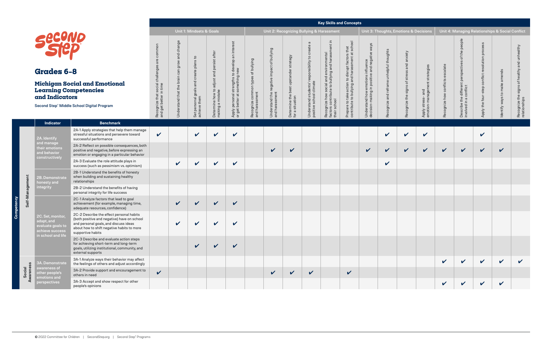# **Grades 6–8**

### **Michigan Social and Emotional Learning Competencies and Indicators**

Second Step® Middle School Digital Program

|                                                                                                   |                                                                                                |                                                                                                                                                             |                                                                                                                                        |                                                                                                                                                           |                                                               |                                                                                        |                                                                                  |                                                                                               | <b>Key Skills and Concepts</b>                                                                                                                                                                                 |                                                                                                                                                                                                                                 |                                                                                                                  |                                                                                                                                                                                  |                                                            |                                                                        |                                        |                                                                                                                                 |                                                                                                                                                             |                                    |                                                                                                     |
|---------------------------------------------------------------------------------------------------|------------------------------------------------------------------------------------------------|-------------------------------------------------------------------------------------------------------------------------------------------------------------|----------------------------------------------------------------------------------------------------------------------------------------|-----------------------------------------------------------------------------------------------------------------------------------------------------------|---------------------------------------------------------------|----------------------------------------------------------------------------------------|----------------------------------------------------------------------------------|-----------------------------------------------------------------------------------------------|----------------------------------------------------------------------------------------------------------------------------------------------------------------------------------------------------------------|---------------------------------------------------------------------------------------------------------------------------------------------------------------------------------------------------------------------------------|------------------------------------------------------------------------------------------------------------------|----------------------------------------------------------------------------------------------------------------------------------------------------------------------------------|------------------------------------------------------------|------------------------------------------------------------------------|----------------------------------------|---------------------------------------------------------------------------------------------------------------------------------|-------------------------------------------------------------------------------------------------------------------------------------------------------------|------------------------------------|-----------------------------------------------------------------------------------------------------|
|                                                                                                   |                                                                                                | Unit 1: Mindsets & Goals                                                                                                                                    |                                                                                                                                        |                                                                                                                                                           |                                                               |                                                                                        |                                                                                  |                                                                                               | Unit 2: Recognizing Bullying & Harassment                                                                                                                                                                      |                                                                                                                                                                                                                                 |                                                                                                                  | Unit 3: Thoughts, Emotions & Decisions                                                                                                                                           |                                                            |                                                                        |                                        | Unit 4: Managing Relationships & Social Conflict                                                                                |                                                                                                                                                             |                                    |                                                                                                     |
| mon<br>σ<br>pa<br>challer<br>social<br>time<br>$\equiv$<br>that<br>get better<br>Recognize<br>and | change<br>and<br>$\geq$<br>ັອ<br>E<br>ω<br>ت<br><b>OII</b> B<br>ه<br>the<br>that<br>Understand | $\mathsf{c}_1$<br>plans<br>create<br>$\overline{\sigma}$<br>Ĕ<br>$\frac{2}{5}$<br>ö<br>ත<br>them<br>onal<br>ieve<br>$\overline{\omega}$<br>ă<br>Set<br>achi | after<br>$\overline{\overline{\overline{\overline{6}}}$<br>and persi<br>adjust<br>how to<br>mistake<br>Determine<br>$\varpi$<br>making | 5<br>interes<br>an<br>develop<br>Μē<br>O<br>ى<br>engths t<br>mething<br>str<br>$\circ$<br>Ø<br>ersonal<br>etter at<br>ف هَ<br>Apply<br>or get<br>$\sigma$ | of bullying<br>types<br>common<br>and harassment<br>Recognize | bullying<br>$\rm ^{+}$<br>impact<br>negative<br>harassment<br>the<br>Understand<br>and | strategy<br>upstander<br>best<br>the<br>situation<br>Determine<br>$\overline{p}$ | $\sigma$<br>create<br>students' responsibility to<br>school climate<br>Understand<br>positive | .드<br>hent<br>environmental<br>SSI<br>hara<br>and<br>bullying<br>pue<br>—<br>cia<br>$\overline{c}$<br>וסא אסו.<br>contribute t :<br>contribute:<br>Recognize I<br>factors com<br>$rac{}{1}{\sqrt{2}}$<br>their | $\overline{Q}$<br>sch<br>that<br>$\vec{a}$<br>$\omega$<br>ctor<br>sment<br>ΕĄ<br>disrupt<br>Ö,<br>ത<br>and har<br>S<br>action<br>bullying<br>take<br>$\overline{c}$<br>contribute<br>5<br>ipare<br>e<br>$\overline{\mathbf{r}}$ | ways<br>negative<br>influence<br>and<br>in positive<br>emotions<br>making<br>how<br>Understand l<br>decision-mal | ghts<br>thou!<br>nhelpful<br>$\overline{\phantom{0}}$<br>$\omega$<br>$\overline{\sigma}$<br>refr<br>$\overline{c}$<br>σ<br>$\omega$<br>ognize<br>$\overline{O}$<br>$\omega$<br>œ | anxiety<br>and<br>stress<br>đ<br>signs<br>the<br>Recognize | ategies<br>str<br>ager<br>and<br>mana<br>stress<br>ā<br>Apply<br>emoti | escalate<br>conflicts<br>Recognize how | people<br>of the<br>erspectives<br>$\Omega$<br>different<br>conflict<br>the<br>G<br>$\equiv$<br>$\omega$<br>involved<br>Describ | $\omega$<br>$\omega$<br>$\bigcap$<br>$\circ$<br>효<br>olution<br>$\omega$<br>$\Omega$<br>onflict<br>$\circ$<br>$\theta$<br>÷,<br>ڝ<br>$\omega$<br>흡<br>Apply | amends<br>make<br>Identify ways to | and unhealthy<br>healthy<br>$\overline{\sigma}$<br>signs<br>Recognize the s<br>relationships<br>ish |
|                                                                                                   |                                                                                                |                                                                                                                                                             |                                                                                                                                        |                                                                                                                                                           |                                                               |                                                                                        |                                                                                  |                                                                                               |                                                                                                                                                                                                                |                                                                                                                                                                                                                                 |                                                                                                                  |                                                                                                                                                                                  |                                                            |                                                                        |                                        |                                                                                                                                 |                                                                                                                                                             |                                    |                                                                                                     |

|                                           | <b>otions &amp; Decisions</b>                     |                                  |                                                                             | Unit 4: Managing Relationships & Social Conflict |                              |                                                               |
|-------------------------------------------|---------------------------------------------------|----------------------------------|-----------------------------------------------------------------------------|--------------------------------------------------|------------------------------|---------------------------------------------------------------|
| Recognize the signs of stress and anxiety | emotion-management strategies<br>Apply stress-and | Recognize how conflicts escalate | Describe the different perspectives of the people<br>involved in a conflict | Apply the four-step conflict resolution process  | Identify ways to make amends | Recognize the signs of healthy and unhealthy<br>relationships |
|                                           |                                                   |                                  |                                                                             |                                                  |                              |                                                               |
|                                           |                                                   |                                  |                                                                             |                                                  |                              |                                                               |
|                                           |                                                   |                                  |                                                                             |                                                  |                              |                                                               |
|                                           |                                                   |                                  |                                                                             |                                                  |                              |                                                               |
|                                           |                                                   |                                  |                                                                             |                                                  |                              |                                                               |
|                                           |                                                   |                                  |                                                                             |                                                  |                              |                                                               |
|                                           |                                                   |                                  |                                                                             |                                                  |                              |                                                               |
|                                           |                                                   |                                  |                                                                             |                                                  |                              |                                                               |
|                                           |                                                   |                                  |                                                                             |                                                  |                              |                                                               |
|                                           |                                                   |                                  |                                                                             |                                                  |                              |                                                               |
|                                           |                                                   | V                                | V                                                                           | V                                                | $\mathbf v$                  |                                                               |

|                    | <b>Indicator</b>                                                                              | <b>Benchmark</b>                                                                                                                                                                                    |              |                    |                    |                            |                            |                            |                            |                            |              |                            |                    |                            |                    |                    |                            |  |
|--------------------|-----------------------------------------------------------------------------------------------|-----------------------------------------------------------------------------------------------------------------------------------------------------------------------------------------------------|--------------|--------------------|--------------------|----------------------------|----------------------------|----------------------------|----------------------------|----------------------------|--------------|----------------------------|--------------------|----------------------------|--------------------|--------------------|----------------------------|--|
|                    | 2A. Identify                                                                                  | 2A-1 Apply strategies that help them manage<br>stressful situations and persevere toward<br>successful performance                                                                                  | $\checkmark$ |                    | $\mathbf v$        | $\boldsymbol{\mathcal{U}}$ | $\mathbf v$                |                            |                            |                            |              |                            | $\checkmark$       | $\boldsymbol{\mathcal{U}}$ | $\mathbf v$        |                    | $\boldsymbol{\mathcal{U}}$ |  |
|                    | and manage<br>their emotions<br>and behavior<br>constructively                                | 2A-2 Reflect on possible consequences, both<br>positive and negative, before expressing an<br>emotion or engaging in a particular behavior                                                          |              |                    |                    |                            |                            | $\sqrt{2}$                 | $\boldsymbol{\mathcal{U}}$ |                            |              | $\boldsymbol{\mathcal{U}}$ | $\boldsymbol{\nu}$ | ✔                          | $\boldsymbol{\nu}$ | $\boldsymbol{\nu}$ |                            |  |
|                    |                                                                                               | 2A-3 Evaluate the role attitude plays in<br>success (such as pessimism vs. optimism)                                                                                                                |              |                    | V                  | $\checkmark$               | $\boldsymbol{\mathcal{U}}$ |                            |                            |                            |              |                            | $\checkmark$       |                            |                    |                    |                            |  |
|                    | 2B. Demonstrate<br>honesty and                                                                | 2B-1 Understand the benefits of honesty<br>when building and sustaining healthy<br>relationships                                                                                                    |              |                    |                    |                            |                            |                            |                            |                            |              |                            |                    |                            |                    |                    |                            |  |
|                    | integrity                                                                                     | 2B-2 Understand the benefits of having<br>personal integrity for life success                                                                                                                       |              |                    |                    |                            |                            |                            |                            |                            |              |                            |                    |                            |                    |                    |                            |  |
| Self-Management    |                                                                                               | 2C-1 Analyze factors that lead to goal<br>achievement (for example, managing time,<br>adequate resources, confidence)                                                                               |              | $\boldsymbol{\nu}$ | $\boldsymbol{\nu}$ | $\mathbf v$                | $\boldsymbol{\mathcal{U}}$ |                            |                            |                            |              |                            |                    |                            |                    |                    |                            |  |
|                    | 2C. Set, monitor,<br>adapt, and<br>evaluate goals to<br>achieve success<br>in school and life | 2C-2 Describe the effect personal habits<br>(both positive and negative) have on school<br>and personal goals, and discuss ideas<br>about how to shift negative habits to more<br>supportive habits |              |                    |                    | $\boldsymbol{\mathcal{U}}$ | $\boldsymbol{\mathcal{L}}$ |                            |                            |                            |              |                            |                    |                            |                    |                    |                            |  |
|                    |                                                                                               | 2C-3 Describe and evaluate action steps<br>for achieving short-term and long-term<br>goals, utilizing institutional, community, and<br>external supports                                            |              |                    | ✓                  | $\boldsymbol{\nu}$         | $\boldsymbol{\nu}$         |                            |                            |                            |              |                            |                    |                            |                    |                    |                            |  |
|                    | <b>3A. Demonstrate</b>                                                                        | 3A-1 Analyze ways their behavior may affect<br>the feelings of others and adjust accordingly                                                                                                        |              |                    |                    |                            |                            |                            |                            |                            |              |                            |                    |                            |                    | $\boldsymbol{\nu}$ | $\boldsymbol{\nu}$         |  |
| Social<br>Awarenes | awareness of<br>other people's<br>emotions and                                                | 3A-2 Provide support and encouragement to<br>others in need                                                                                                                                         | $\checkmark$ |                    |                    |                            |                            | $\boldsymbol{\mathcal{U}}$ | $\mathbf{v}$               | $\boldsymbol{\mathcal{U}}$ | $\checkmark$ |                            |                    |                            |                    |                    |                            |  |
|                    | perspectives                                                                                  | 3A-3 Accept and show respect for other<br>people's opinions                                                                                                                                         |              |                    |                    |                            |                            |                            |                            |                            |              |                            |                    |                            |                    |                    |                            |  |

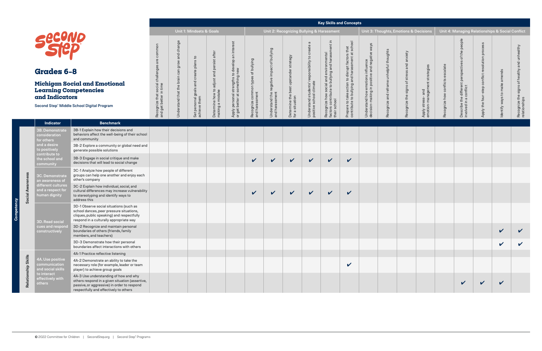# **Learning Competencies and Indicators**

|                                                                          |                                               |                                                        |                                                                  |                                                                                              |                                                      |                                                              |                                                             |                                                                               | <b>Key Skills and Concepts</b>                                                                                |                                                                                                               |                                                                                    |                                          |  |
|--------------------------------------------------------------------------|-----------------------------------------------|--------------------------------------------------------|------------------------------------------------------------------|----------------------------------------------------------------------------------------------|------------------------------------------------------|--------------------------------------------------------------|-------------------------------------------------------------|-------------------------------------------------------------------------------|---------------------------------------------------------------------------------------------------------------|---------------------------------------------------------------------------------------------------------------|------------------------------------------------------------------------------------|------------------------------------------|--|
|                                                                          |                                               | <b>Unit 1: Mindsets &amp; Goals</b>                    |                                                                  |                                                                                              |                                                      |                                                              |                                                             |                                                                               | Unit 2: Recognizing Bullying & Harassment                                                                     |                                                                                                               |                                                                                    | Unit 3: Thoughts, Em                     |  |
| are common<br>Recognize that social challenges<br>and get better in time | Understand that the brain can grow and change | Set personal goals and create plans to<br>achieve them | adjust and persist after<br>Determine how to<br>making a mistake | personal strengths to develop an interest<br>something new<br>better at<br>or get I<br>Apply | Recognize common types of bullying<br>and harassment | Understand the negative impact of bullying<br>and harassment | Determine the best upstander strategy<br>situation<br>for a | σ<br>Understand students' responsibility to create<br>positive school climate | factors contribute to bullying and harassment in<br>social and environmental<br>Recognize how<br>their school | and harassment at school<br>action to disrupt factors that<br>to bullying<br>take<br>contribute<br>Prepare to | decision-making in positive and negative ways<br>Understand how emotions influence | Recognize and reframe unhelpful thoughts |  |
|                                                                          |                                               |                                                        |                                                                  |                                                                                              |                                                      |                                                              |                                                             |                                                                               |                                                                                                               |                                                                                                               |                                                                                    |                                          |  |

**Competency**

|                                                          |                                                                                                                                                                                   | <b>Unit 1: Mindsets &amp; Goals</b>                          |                                       |                                               |                                                |                                                                                    |                                          | Unit 2: Recognizing Bullying & Harassment     |                                                 |                                                   |                                                                                                      |                                                                                                   |                                                                        |                             | Unit 3: Thoughts, Emotions & Decisions          |                                                |                            |                                                               | Unit 4: Managing Relationships & Social Conflict |                               |                                                      |  |  |  |
|----------------------------------------------------------|-----------------------------------------------------------------------------------------------------------------------------------------------------------------------------------|--------------------------------------------------------------|---------------------------------------|-----------------------------------------------|------------------------------------------------|------------------------------------------------------------------------------------|------------------------------------------|-----------------------------------------------|-------------------------------------------------|---------------------------------------------------|------------------------------------------------------------------------------------------------------|---------------------------------------------------------------------------------------------------|------------------------------------------------------------------------|-----------------------------|-------------------------------------------------|------------------------------------------------|----------------------------|---------------------------------------------------------------|--------------------------------------------------|-------------------------------|------------------------------------------------------|--|--|--|
| <b>Grades 6-8</b>                                        |                                                                                                                                                                                   |                                                              | change<br>and<br>$\geq$<br>gro<br>can | $\mathtt{c}_1$<br>enate plans                 | after<br>`ග<br>and                             | an interest                                                                        | bullying<br>$\rm ^{+}$                   | bullying                                      | strategy                                        | $\sigma$<br>create<br>responsibility to           | $\overline{a}$                                                                                       |                                                                                                   | influence<br>and negative ways                                         | unhelpful thoughts          | anxiety<br>and                                  | ategie                                         |                            | people<br>the<br>৳                                            | proces<br>solution                               | nds                           | unhealthy                                            |  |  |  |
| <b>Learning Competencies</b><br>and Indicators           | Michigan Social and Emotional<br>Second Step® Middle School Digital Program                                                                                                       | challenge<br>Recognize that social<br>and get better in time | Understand that the brain             | and cre<br>Set personal goals<br>achieve them | adjust<br>Determine how to<br>making a mistake | strengths to develop<br>something new<br>personal<br>thetter at<br>Apply<br>or get | Recognize common types<br>and harassment | legativ<br>Understand the n<br>and harassment | Determine the best upstander<br>for a situation | Understand students' r<br>positive school climate | Recognize how social and environmental<br>factors contribute to bullying and harassm<br>their school | Prepare to take action to disrupt factors that<br>contribute to bullying and harassment at school | emotions ir<br>in positive a<br>Understand how e<br>decision-making ii | reframe<br>and<br>Recognize | stress<br>$\rm ^{5}$<br>cognize the signs<br>Ř. | nagen<br>Iang<br>Apply stress-<br>emotion-mana | conflicts<br>Recognize how | the different perspectives<br>္မ<br>Describe t<br>involved in | nflict<br>흔<br>the<br>Apply                      | $\mathsf{c}$<br>Identify ways | healthy<br>signs<br>Recognize the s<br>relationships |  |  |  |
| <b>Indicator</b>                                         | <b>Benchmark</b>                                                                                                                                                                  |                                                              |                                       |                                               |                                                |                                                                                    |                                          |                                               |                                                 |                                                   |                                                                                                      |                                                                                                   |                                                                        |                             |                                                 |                                                |                            |                                                               |                                                  |                               |                                                      |  |  |  |
| 3B. Demonstrate<br>consideration<br>for others           | 3B-1 Explain how their decisions and<br>behaviors affect the well-being of their school<br>and community                                                                          |                                                              |                                       |                                               |                                                |                                                                                    |                                          |                                               |                                                 |                                                   |                                                                                                      |                                                                                                   |                                                                        |                             |                                                 |                                                |                            |                                                               |                                                  |                               |                                                      |  |  |  |
| and a desire<br>to positively<br>contribute to           | 3B-2 Explore a community or global need and<br>generate possible solutions                                                                                                        |                                                              |                                       |                                               |                                                |                                                                                    |                                          |                                               |                                                 |                                                   |                                                                                                      |                                                                                                   |                                                                        |                             |                                                 |                                                |                            |                                                               |                                                  |                               |                                                      |  |  |  |
| the school and<br>community                              | 3B-3 Engage in social critique and make<br>decisions that will lead to social change                                                                                              |                                                              |                                       |                                               |                                                |                                                                                    | $\checkmark$                             | $\checkmark$                                  | $\checkmark$                                    | $\checkmark$                                      | $\checkmark$                                                                                         | $\checkmark$                                                                                      |                                                                        |                             |                                                 |                                                |                            |                                                               |                                                  |                               |                                                      |  |  |  |
| 3C. Demonstrate<br>an awareness of                       | 3C-1 Analyze how people of different<br>groups can help one another and enjoy each<br>other's company                                                                             |                                                              |                                       |                                               |                                                |                                                                                    |                                          |                                               |                                                 |                                                   |                                                                                                      |                                                                                                   |                                                                        |                             |                                                 |                                                |                            |                                                               |                                                  |                               |                                                      |  |  |  |
| different cultures<br>and a respect for<br>human dignity | 3C-2 Explain how individual, social, and<br>cultural differences may increase vulnerability<br>to stereotyping and identify ways to<br>address this                               |                                                              |                                       |                                               |                                                |                                                                                    | $\mathbf v$                              | $\checkmark$                                  | $\checkmark$                                    | $\checkmark$                                      | $\checkmark$                                                                                         | $\checkmark$                                                                                      |                                                                        |                             |                                                 |                                                |                            |                                                               |                                                  |                               |                                                      |  |  |  |
| 3D. Read social                                          | 3D-1 Observe social situations (such as<br>school dances, peer pressure situations,<br>cliques, public speaking) and respectfully<br>respond in a culturally appropriate way      |                                                              |                                       |                                               |                                                |                                                                                    |                                          |                                               |                                                 |                                                   |                                                                                                      |                                                                                                   |                                                                        |                             |                                                 |                                                |                            |                                                               |                                                  |                               |                                                      |  |  |  |
| cues and respond<br>constructively                       | 3D-2 Recognize and maintain personal<br>boundaries of others (friends, family<br>members, and teachers)                                                                           |                                                              |                                       |                                               |                                                |                                                                                    |                                          |                                               |                                                 |                                                   |                                                                                                      |                                                                                                   |                                                                        |                             |                                                 |                                                |                            |                                                               |                                                  | $\boldsymbol{\mathcal{U}}$    | $\boldsymbol{\mathcal{U}}$                           |  |  |  |
|                                                          | 3D-3 Demonstrate how their personal<br>boundaries affect interactions with others                                                                                                 |                                                              |                                       |                                               |                                                |                                                                                    |                                          |                                               |                                                 |                                                   |                                                                                                      |                                                                                                   |                                                                        |                             |                                                 |                                                |                            |                                                               |                                                  | $\checkmark$                  | $\checkmark$                                         |  |  |  |
|                                                          | 4A-1 Practice reflective listening                                                                                                                                                |                                                              |                                       |                                               |                                                |                                                                                    |                                          |                                               |                                                 |                                                   |                                                                                                      |                                                                                                   |                                                                        |                             |                                                 |                                                |                            |                                                               |                                                  |                               |                                                      |  |  |  |
| 4A. Use positive<br>communication<br>and social skills   | 4A-2 Demonstrate an ability to take the<br>necessary role (for example, leader or team<br>player) to achieve group goals                                                          |                                                              |                                       |                                               |                                                |                                                                                    |                                          |                                               |                                                 |                                                   |                                                                                                      | $\checkmark$                                                                                      |                                                                        |                             |                                                 |                                                |                            |                                                               |                                                  |                               |                                                      |  |  |  |
| to interact<br>effectively with<br>others                | 4A-3 Use understanding of how and why<br>others respond in a given situation (assertive,<br>passive, or aggressive) in order to respond<br>respectfully and effectively to others |                                                              |                                       |                                               |                                                |                                                                                    |                                          |                                               |                                                 |                                                   |                                                                                                      |                                                                                                   |                                                                        |                             |                                                 |                                                |                            | $\checkmark$                                                  |                                                  | $\mathbf v$                   |                                                      |  |  |  |

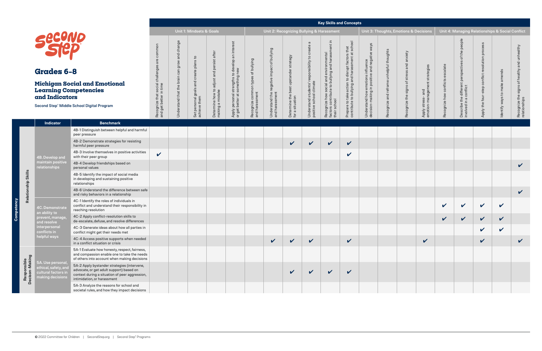# **Learning Competencies and Indicators**

|                                                                                   |                                               |                                                              |                                                               |                                                                                      |                                                      |                                                                 |                                                             |                                                                               |                                                                                                               | <b>Key Skills and Concepts</b>                                                                    |                                                                                    |                                          |
|-----------------------------------------------------------------------------------|-----------------------------------------------|--------------------------------------------------------------|---------------------------------------------------------------|--------------------------------------------------------------------------------------|------------------------------------------------------|-----------------------------------------------------------------|-------------------------------------------------------------|-------------------------------------------------------------------------------|---------------------------------------------------------------------------------------------------------------|---------------------------------------------------------------------------------------------------|------------------------------------------------------------------------------------|------------------------------------------|
|                                                                                   |                                               | <b>Unit 1: Mindsets &amp; Goals</b>                          |                                                               |                                                                                      |                                                      | Unit 2: Recognizing Bullying & Harassment                       |                                                             |                                                                               |                                                                                                               |                                                                                                   |                                                                                    | Unit 3: Thoughts, Er                     |
| common<br>are<br>social challenges<br>get better in time<br>Recognize that<br>and | Understand that the brain can grow and change | plans to<br>and create<br>Set personal goals<br>achieve them | Determine how to adjust and persist after<br>making a mistake | Apply personal strengths to develop an interest<br>something new<br>or get better at | Recognize common types of bullying<br>and harassment | negative impact of bullying<br>and harassment<br>Understand the | Determine the best upstander strategy<br>situation<br>for a | G<br>Understand students' responsibility to create<br>positive school climate | and harassment in<br>Recognize how social and environmental<br>factors contribute to bullying<br>their school | contribute to bullying and harassment at school<br>Prepare to take action to disrupt factors that | decision-making in positive and negative ways<br>Understand how emotions influence | Recognize and reframe unhelpful thoughts |
|                                                                                   |                                               |                                                              |                                                               |                                                                                      |                                                      |                                                                 |                                                             |                                                                               |                                                                                                               |                                                                                                   |                                                                                    |                                          |

|                               |                                                                 |                                                                                                                                                                          |                                                            |                    | <b>Unit 1: Mindsets &amp; Goals</b>    |                                                               |                                                                     | Unit 2: Recognizing Bullying & Harassment         |                                                  |                                               |                                                   |                                                                    |                                                                                                   |                                                    | Unit 3: Thoughts, Emotions & Decisions |                        |                                                  |                            | Unit 4: Managing Relationships & Social Conflict                           |                                 |                               |                                      |  |  |
|-------------------------------|-----------------------------------------------------------------|--------------------------------------------------------------------------------------------------------------------------------------------------------------------------|------------------------------------------------------------|--------------------|----------------------------------------|---------------------------------------------------------------|---------------------------------------------------------------------|---------------------------------------------------|--------------------------------------------------|-----------------------------------------------|---------------------------------------------------|--------------------------------------------------------------------|---------------------------------------------------------------------------------------------------|----------------------------------------------------|----------------------------------------|------------------------|--------------------------------------------------|----------------------------|----------------------------------------------------------------------------|---------------------------------|-------------------------------|--------------------------------------|--|--|
|                               | Secono<br><b>Grades 6-8</b>                                     |                                                                                                                                                                          | common<br>are                                              | change<br>and<br>៉ | °1<br><b>SU</b>                        |                                                               | inter<br>$\overline{\mathsf{a}}$<br>develop<br>wep op<br>Meu f      | bullying<br>$\overleftarrow{\mathrm{o}}$<br>types | of bullying                                      | strategy                                      | $\sigma$<br>create<br>responsibility to           | l environmental<br>ving and harassm<br>il and env<br>bullying i    | Prepare to take action to disrupt factors that<br>contribute to bullying and harassment at school | emotions influence<br>in positive and negative way | nhelpful thoughts                      | stress and anxiety     | ategies                                          | alate                      | the people<br>$\overleftarrow{\mathrm{o}}$                                 | $\overline{6}$<br>효<br>solution | nds                           | ealthy                               |  |  |
|                               | <b>Learning Competencies</b><br>and Indicators                  | <b>Michigan Social and Emotional</b><br>Second Step® Middle School Digital Program                                                                                       | Recognize that social challenges<br>and get better in time | the<br>and that    | goal<br>Set personal g<br>achieve them | Determine how to adjust and persist after<br>making a mistake | strengths to<br>something<br>Apply personal s<br>or get better at s | Recognize common<br>and harassment                | Understand the negative impact<br>and harassment | Determine the best upstand<br>for a situation | Understand students' r<br>positive school climate | Recognize how social a<br>factors contribute to bu<br>their school |                                                                                                   | Understand how e<br>decision-making ii             | ᅙ<br>ezingoos                          | Recognize the signs of | and<br>ିବ<br>8g<br>Apply stress-<br>emotion-mana | conflicts<br>Recognize how | , the different perspectives<br>in a conflict<br>Describe t<br>involved ir | the four<br>Apply               | $\mathbf{c}$<br>Identify ways | Recognize the signs<br>relationships |  |  |
|                               | Indicator                                                       | <b>Benchmark</b>                                                                                                                                                         |                                                            |                    |                                        |                                                               |                                                                     |                                                   |                                                  |                                               |                                                   |                                                                    |                                                                                                   |                                                    |                                        |                        |                                                  |                            |                                                                            |                                 |                               |                                      |  |  |
|                               |                                                                 | 4B-1 Distinguish between helpful and harmful<br>peer pressure                                                                                                            |                                                            |                    |                                        |                                                               |                                                                     |                                                   |                                                  |                                               |                                                   |                                                                    |                                                                                                   |                                                    |                                        |                        |                                                  |                            |                                                                            |                                 |                               |                                      |  |  |
|                               |                                                                 | 4B-2 Demonstrate strategies for resisting<br>harmful peer pressure                                                                                                       |                                                            |                    |                                        |                                                               |                                                                     |                                                   |                                                  | $\checkmark$                                  | $\checkmark$                                      | $\checkmark$                                                       | $\checkmark$                                                                                      |                                                    |                                        |                        |                                                  |                            |                                                                            |                                 |                               |                                      |  |  |
|                               | 4B. Develop and<br>maintain positive<br>relationships           | 4B-3 Involve themselves in positive activities<br>with their peer group                                                                                                  | $\checkmark$                                               |                    |                                        |                                                               |                                                                     |                                                   |                                                  |                                               |                                                   |                                                                    | V                                                                                                 |                                                    |                                        |                        |                                                  |                            |                                                                            |                                 |                               |                                      |  |  |
|                               |                                                                 | 4B-4 Develop friendships based on<br>personal values                                                                                                                     |                                                            |                    |                                        |                                                               |                                                                     |                                                   |                                                  |                                               |                                                   |                                                                    |                                                                                                   |                                                    |                                        |                        |                                                  |                            |                                                                            |                                 |                               | $\checkmark$                         |  |  |
| Relationship Skills           |                                                                 | 4B-5 Identify the impact of social media<br>in developing and sustaining positive<br>relationships                                                                       |                                                            |                    |                                        |                                                               |                                                                     |                                                   |                                                  |                                               |                                                   |                                                                    |                                                                                                   |                                                    |                                        |                        |                                                  |                            |                                                                            |                                 |                               |                                      |  |  |
|                               |                                                                 | 4B-6 Understand the difference between safe<br>and risky behaviors in a relationship                                                                                     |                                                            |                    |                                        |                                                               |                                                                     |                                                   |                                                  |                                               |                                                   |                                                                    |                                                                                                   |                                                    |                                        |                        |                                                  |                            |                                                                            |                                 |                               | $\checkmark$                         |  |  |
|                               | 4C. Demonstrate<br>an ability to                                | 4C-1 Identify the roles of individuals in<br>conflict and understand their responsibility in<br>reaching resolution                                                      |                                                            |                    |                                        |                                                               |                                                                     |                                                   |                                                  |                                               |                                                   |                                                                    |                                                                                                   |                                                    |                                        |                        |                                                  | V                          | $\mathbf v$                                                                | $\checkmark$                    | $\checkmark$                  |                                      |  |  |
|                               | prevent, manage<br><b>ind resolve</b>                           | 4C-2 Apply conflict-resolution skills to<br>de-escalate, defuse, and resolve differences                                                                                 |                                                            |                    |                                        |                                                               |                                                                     |                                                   |                                                  |                                               |                                                   |                                                                    |                                                                                                   |                                                    |                                        |                        |                                                  | V                          |                                                                            | $\boldsymbol{\mathcal{U}}$      | $\boldsymbol{\mathcal{U}}$    |                                      |  |  |
|                               | interpersonal<br>conflicts in                                   | 4C-3 Generate ideas about how all parties in<br>conflict might get their needs met                                                                                       |                                                            |                    |                                        |                                                               |                                                                     |                                                   |                                                  |                                               |                                                   |                                                                    |                                                                                                   |                                                    |                                        |                        |                                                  |                            |                                                                            | $\mathbf v$                     | $\boldsymbol{\mathcal{U}}$    |                                      |  |  |
|                               | helpful ways                                                    | 4C-4 Access positive supports when needed<br>in a conflict situation or crisis                                                                                           |                                                            |                    |                                        |                                                               |                                                                     |                                                   | $\checkmark$                                     | $\checkmark$                                  | $\checkmark$                                      |                                                                    | $\checkmark$                                                                                      |                                                    |                                        |                        | $\checkmark$                                     |                            |                                                                            | $\mathbf{v}$                    |                               | $\checkmark$                         |  |  |
|                               | 5A. Use persona                                                 | 5A-1 Evaluate how honesty, respect, fairness,<br>and compassion enable one to take the needs<br>of others into account when making decisions                             |                                                            |                    |                                        |                                                               |                                                                     |                                                   |                                                  |                                               |                                                   |                                                                    |                                                                                                   |                                                    |                                        |                        |                                                  |                            |                                                                            |                                 |                               |                                      |  |  |
| Responsible<br>Decison-Making | ethical, safety, and<br>cultural factors in<br>making decisions | 5A-2 Apply bystander strategies (intervene,<br>advocate, or get adult support) based on<br>context during a situation of peer aggression,<br>intimidation, or harassment |                                                            |                    |                                        |                                                               |                                                                     |                                                   |                                                  | $\checkmark$                                  | $\checkmark$                                      | $\checkmark$                                                       | $\boldsymbol{\mathcal{U}}$                                                                        |                                                    |                                        |                        |                                                  |                            |                                                                            |                                 |                               |                                      |  |  |
|                               |                                                                 | 5A-3 Analyze the reasons for school and<br>societal rules, and how they impact decisions                                                                                 |                                                            |                    |                                        |                                                               |                                                                     |                                                   |                                                  |                                               |                                                   |                                                                    |                                                                                                   |                                                    |                                        |                        |                                                  |                            |                                                                            |                                 |                               |                                      |  |  |

**Competency**

ိ